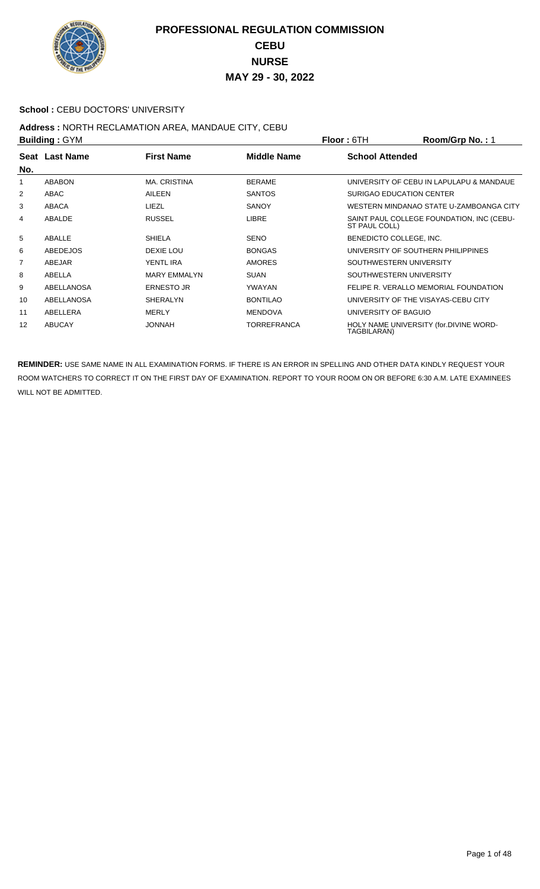

#### School : CEBU DOCTORS' UNIVERSITY

#### **Address :** NORTH RECLAMATION AREA, MANDAUE CITY, CEBU **Building :** GYM **Floor :** 6TH **Room/Grp No. :** 1

| <b>DUILGING</b> : GTM |                 | FIOOI: 0 I H        | <b>ROOMOUD NO.</b> . I |                         |                                           |
|-----------------------|-----------------|---------------------|------------------------|-------------------------|-------------------------------------------|
|                       | Seat Last Name  | <b>First Name</b>   | <b>Middle Name</b>     | <b>School Attended</b>  |                                           |
| No.                   |                 |                     |                        |                         |                                           |
| 1                     | <b>ABABON</b>   | <b>MA. CRISTINA</b> | <b>BERAME</b>          |                         | UNIVERSITY OF CEBU IN LAPULAPU & MANDAUE  |
| 2                     | ABAC            | <b>AILEEN</b>       | <b>SANTOS</b>          |                         | SURIGAO EDUCATION CENTER                  |
| 3                     | ABACA           | LIEZL               | <b>SANOY</b>           |                         | WESTERN MINDANAO STATE U-ZAMBOANGA CITY   |
| 4                     | ABALDE          | <b>RUSSEL</b>       | <b>LIBRE</b>           | ST PAUL COLL)           | SAINT PAUL COLLEGE FOUNDATION, INC (CEBU- |
| 5                     | ABALLE          | <b>SHIELA</b>       | <b>SENO</b>            | BENEDICTO COLLEGE, INC. |                                           |
| 6                     | <b>ABEDEJOS</b> | DEXIE LOU           | <b>BONGAS</b>          |                         | UNIVERSITY OF SOUTHERN PHILIPPINES        |
| $\overline{7}$        | ABEJAR          | YENTL IRA           | <b>AMORES</b>          |                         | SOUTHWESTERN UNIVERSITY                   |
| 8                     | ABELLA          | <b>MARY EMMALYN</b> | <b>SUAN</b>            |                         | SOUTHWESTERN UNIVERSITY                   |
| 9                     | ABELLANOSA      | <b>ERNESTO JR</b>   | YWAYAN                 |                         | FELIPE R. VERALLO MEMORIAL FOUNDATION     |
| 10                    | ABELLANOSA      | <b>SHERALYN</b>     | <b>BONTILAO</b>        |                         | UNIVERSITY OF THE VISAYAS-CEBU CITY       |
| 11                    | ABELLERA        | <b>MERLY</b>        | <b>MENDOVA</b>         | UNIVERSITY OF BAGUIO    |                                           |
| 12                    | <b>ABUCAY</b>   | <b>HANNOL</b>       | <b>TORREFRANCA</b>     | TAGBILARAN)             | HOLY NAME UNIVERSITY (for.DIVINE WORD-    |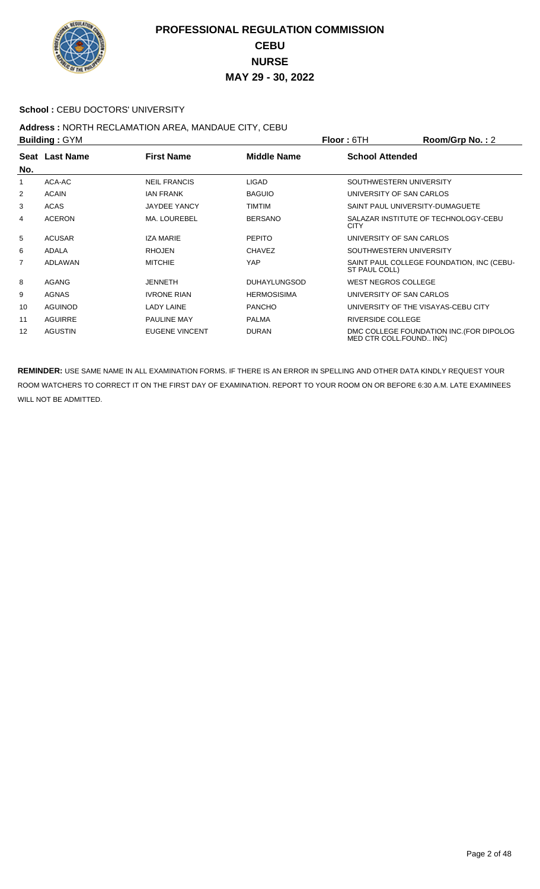

#### **School : CEBU DOCTORS' UNIVERSITY**

#### **Address :** NORTH RECLAMATION AREA, MANDAUE CITY, CEBU **Building :** GYM **Floor :** 6TH **Room/Grp No. :** 2

|                | P              |                       |                     | 1 IUU 1 UU 1<br>11001110111101.2                                    |
|----------------|----------------|-----------------------|---------------------|---------------------------------------------------------------------|
| No.            | Seat Last Name | <b>First Name</b>     | <b>Middle Name</b>  | <b>School Attended</b>                                              |
| 1              | ACA-AC         | <b>NEIL FRANCIS</b>   | <b>LIGAD</b>        | SOUTHWESTERN UNIVERSITY                                             |
| 2              | <b>ACAIN</b>   | <b>JAN FRANK</b>      | <b>BAGUIO</b>       | UNIVERSITY OF SAN CARLOS                                            |
| 3              | <b>ACAS</b>    | <b>JAYDEE YANCY</b>   | TIMTIM              | SAINT PAUL UNIVERSITY-DUMAGUETE                                     |
| 4              | <b>ACERON</b>  | <b>MA. LOUREBEL</b>   | <b>BERSANO</b>      | SALAZAR INSTITUTE OF TECHNOLOGY-CEBU<br><b>CITY</b>                 |
| 5              | <b>ACUSAR</b>  | <b>IZA MARIE</b>      | <b>PEPITO</b>       | UNIVERSITY OF SAN CARLOS                                            |
| 6              | <b>ADALA</b>   | <b>RHOJEN</b>         | <b>CHAVEZ</b>       | SOUTHWESTERN UNIVERSITY                                             |
| $\overline{7}$ | <b>ADLAWAN</b> | <b>MITCHIE</b>        | YAP                 | SAINT PAUL COLLEGE FOUNDATION, INC (CEBU-<br>ST PAUL COLL)          |
| 8              | AGANG          | <b>JENNETH</b>        | <b>DUHAYLUNGSOD</b> | <b>WEST NEGROS COLLEGE</b>                                          |
| 9              | <b>AGNAS</b>   | <b>IVRONE RIAN</b>    | <b>HERMOSISIMA</b>  | UNIVERSITY OF SAN CARLOS                                            |
| 10             | <b>AGUINOD</b> | <b>LADY LAINE</b>     | <b>PANCHO</b>       | UNIVERSITY OF THE VISAYAS-CEBU CITY                                 |
| 11             | <b>AGUIRRE</b> | <b>PAULINE MAY</b>    | <b>PALMA</b>        | RIVERSIDE COLLEGE                                                   |
| 12             | <b>AGUSTIN</b> | <b>EUGENE VINCENT</b> | <b>DURAN</b>        | DMC COLLEGE FOUNDATION INC. (FOR DIPOLOG<br>MED CTR COLL.FOUND INC) |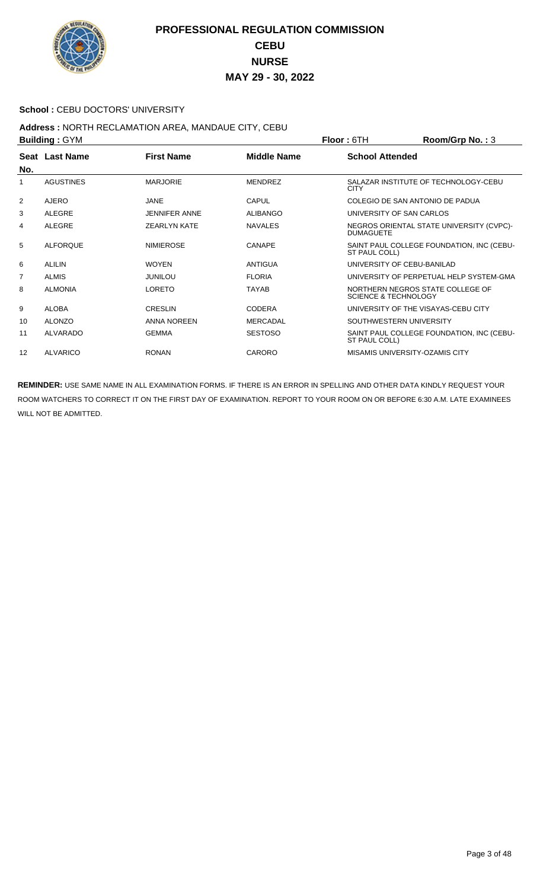

#### School : CEBU DOCTORS' UNIVERSITY

#### **Address :** NORTH RECLAMATION AREA, MANDAUE CITY, CEBU **Building :** GYM **Floor :** 6TH **Room/Grp No. :** 3

|                | P                |                      |                    | <u>IIUUI.UIII</u><br>N                                              |
|----------------|------------------|----------------------|--------------------|---------------------------------------------------------------------|
|                | Seat Last Name   | <b>First Name</b>    | <b>Middle Name</b> | <b>School Attended</b>                                              |
| No.            |                  |                      |                    |                                                                     |
| 1              | <b>AGUSTINES</b> | <b>MARJORIE</b>      | <b>MENDREZ</b>     | SALAZAR INSTITUTE OF TECHNOLOGY-CEBU<br><b>CITY</b>                 |
| 2              | AJERO            | JANE                 | CAPUL              | COLEGIO DE SAN ANTONIO DE PADUA                                     |
| 3              | ALEGRE           | <b>JENNIFER ANNE</b> | <b>ALIBANGO</b>    | UNIVERSITY OF SAN CARLOS                                            |
| 4              | <b>ALEGRE</b>    | <b>ZEARLYN KATE</b>  | <b>NAVALES</b>     | NEGROS ORIENTAL STATE UNIVERSITY (CVPC)-<br><b>DUMAGUETE</b>        |
| 5              | <b>ALFORQUE</b>  | <b>NIMIEROSE</b>     | <b>CANAPE</b>      | SAINT PAUL COLLEGE FOUNDATION, INC (CEBU-<br>ST PAUL COLL)          |
| 6              | ALILIN           | <b>WOYEN</b>         | ANTIGUA            | UNIVERSITY OF CEBU-BANILAD                                          |
| $\overline{7}$ | <b>ALMIS</b>     | <b>JUNILOU</b>       | <b>FLORIA</b>      | UNIVERSITY OF PERPETUAL HELP SYSTEM-GMA                             |
| 8              | <b>ALMONIA</b>   | <b>LORETO</b>        | <b>TAYAB</b>       | NORTHERN NEGROS STATE COLLEGE OF<br><b>SCIENCE &amp; TECHNOLOGY</b> |
| 9              | <b>ALOBA</b>     | <b>CRESLIN</b>       | <b>CODERA</b>      | UNIVERSITY OF THE VISAYAS-CEBU CITY                                 |
| 10             | <b>ALONZO</b>    | ANNA NOREEN          | <b>MERCADAL</b>    | SOUTHWESTERN UNIVERSITY                                             |
| 11             | <b>ALVARADO</b>  | <b>GEMMA</b>         | <b>SESTOSO</b>     | SAINT PAUL COLLEGE FOUNDATION, INC (CEBU-<br>ST PAUL COLL)          |
| 12             | <b>ALVARICO</b>  | <b>RONAN</b>         | CARORO             | MISAMIS UNIVERSITY-OZAMIS CITY                                      |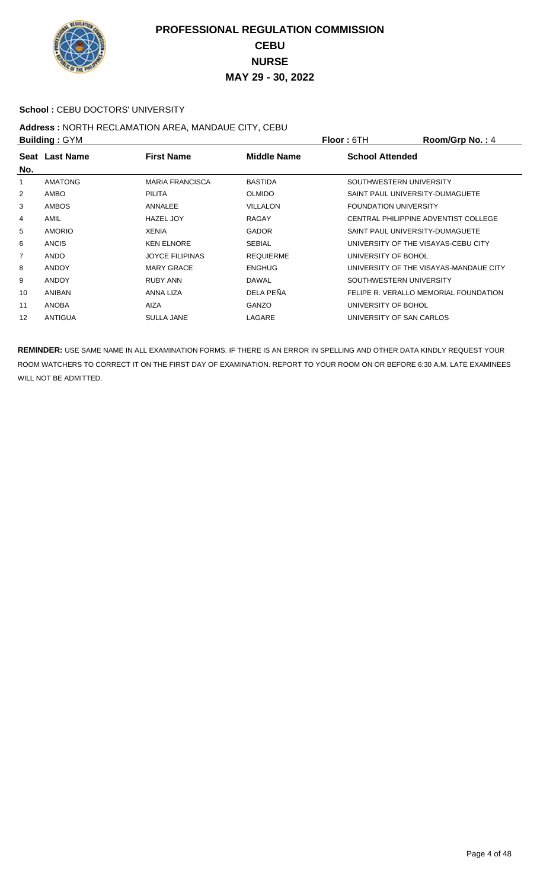

#### School : CEBU DOCTORS' UNIVERSITY

#### **Address :** NORTH RECLAMATION AREA, MANDAUE CITY, CEBU **Building :** GYM **Floor :** 6TH **Room/Grp No. :** 4

| <b>DUILUILLY . OT IVE</b> |                |                        |                    | FIUUL. UIII<br><b>NUUIIIUI U IVU.</b> . 4 |
|---------------------------|----------------|------------------------|--------------------|-------------------------------------------|
| No.                       | Seat Last Name | <b>First Name</b>      | <b>Middle Name</b> | <b>School Attended</b>                    |
| 1                         | <b>AMATONG</b> | <b>MARIA FRANCISCA</b> | <b>BASTIDA</b>     | SOUTHWESTERN UNIVERSITY                   |
| 2                         | AMBO           | PILITA                 | <b>OLMIDO</b>      | SAINT PAUL UNIVERSITY-DUMAGUETE           |
| 3                         | <b>AMBOS</b>   | ANNALEE                | <b>VILLALON</b>    | <b>FOUNDATION UNIVERSITY</b>              |
| 4                         | AMIL           | <b>HAZEL JOY</b>       | <b>RAGAY</b>       | CENTRAL PHILIPPINE ADVENTIST COLLEGE      |
| 5                         | <b>AMORIO</b>  | <b>XENIA</b>           | <b>GADOR</b>       | SAINT PAUL UNIVERSITY-DUMAGUETE           |
| 6                         | <b>ANCIS</b>   | <b>KEN ELNORE</b>      | <b>SEBIAL</b>      | UNIVERSITY OF THE VISAYAS-CEBU CITY       |
| 7                         | <b>ANDO</b>    | <b>JOYCE FILIPINAS</b> | <b>REQUIERME</b>   | UNIVERSITY OF BOHOL                       |
| 8                         | <b>ANDOY</b>   | <b>MARY GRACE</b>      | <b>ENGHUG</b>      | UNIVERSITY OF THE VISAYAS-MANDAUE CITY    |
| 9                         | <b>ANDOY</b>   | <b>RUBY ANN</b>        | <b>DAWAL</b>       | SOUTHWESTERN UNIVERSITY                   |
| 10                        | <b>ANIBAN</b>  | ANNA LIZA              | DELA PEÑA          | FELIPE R. VERALLO MEMORIAL FOUNDATION     |
| 11                        | <b>ANOBA</b>   | AIZA                   | <b>GANZO</b>       | UNIVERSITY OF BOHOL                       |
| 12                        | <b>ANTIGUA</b> | <b>SULLA JANE</b>      | LAGARE             | UNIVERSITY OF SAN CARLOS                  |
|                           |                |                        |                    |                                           |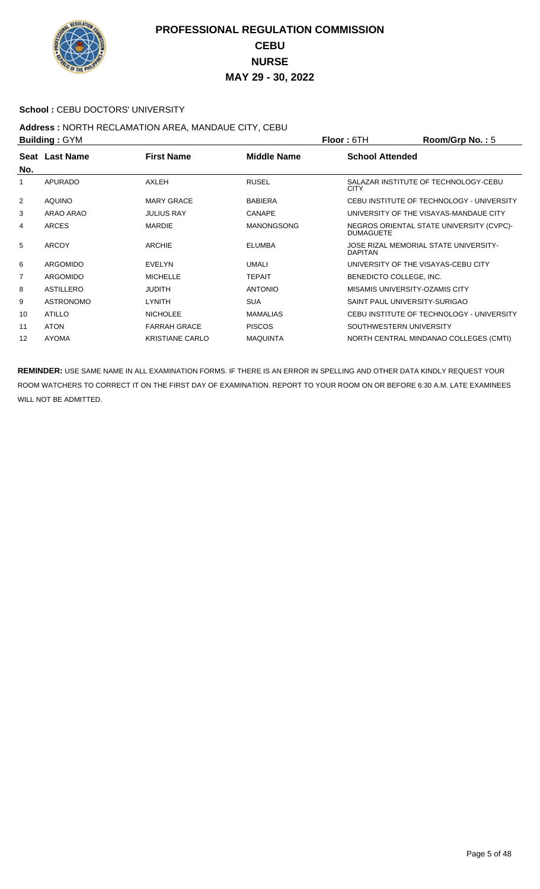

#### School : CEBU DOCTORS' UNIVERSITY

# **Address :** NORTH RECLAMATION AREA, MANDAUE CITY, CEBU

| <b>Building: GYM</b> |                  |                        |                    | <b>Floor: 6TH</b>                   | Room/Grp No.: $5$                         |
|----------------------|------------------|------------------------|--------------------|-------------------------------------|-------------------------------------------|
| No.                  | Seat Last Name   | <b>First Name</b>      | <b>Middle Name</b> | <b>School Attended</b>              |                                           |
| 1                    | <b>APURADO</b>   | AXLEH                  | <b>RUSEL</b>       | <b>CITY</b>                         | SALAZAR INSTITUTE OF TECHNOLOGY-CEBU      |
| $\overline{2}$       | <b>AQUINO</b>    | <b>MARY GRACE</b>      | <b>BABIERA</b>     |                                     | CEBU INSTITUTE OF TECHNOLOGY - UNIVERSITY |
| 3                    | ARAO ARAO        | <b>JULIUS RAY</b>      | <b>CANAPE</b>      |                                     | UNIVERSITY OF THE VISAYAS-MANDAUE CITY    |
| 4                    | <b>ARCES</b>     | <b>MARDIE</b>          | <b>MANONGSONG</b>  | <b>DUMAGUETE</b>                    | NEGROS ORIENTAL STATE UNIVERSITY (CVPC)-  |
| 5                    | <b>ARCOY</b>     | <b>ARCHIE</b>          | <b>ELUMBA</b>      | <b>DAPITAN</b>                      | JOSE RIZAL MEMORIAL STATE UNIVERSITY-     |
| 6                    | ARGOMIDO         | <b>EVELYN</b>          | <b>UMALI</b>       | UNIVERSITY OF THE VISAYAS-CEBU CITY |                                           |
| 7                    | ARGOMIDO         | <b>MICHELLE</b>        | <b>TEPAIT</b>      | BENEDICTO COLLEGE, INC.             |                                           |
| 8                    | ASTILLERO        | <b>JUDITH</b>          | <b>ANTONIO</b>     | MISAMIS UNIVERSITY-OZAMIS CITY      |                                           |
| 9                    | <b>ASTRONOMO</b> | LYNITH                 | <b>SUA</b>         | SAINT PAUL UNIVERSITY-SURIGAO       |                                           |
| 10                   | <b>ATILLO</b>    | <b>NICHOLEE</b>        | <b>MAMALIAS</b>    |                                     | CEBU INSTITUTE OF TECHNOLOGY - UNIVERSITY |
| 11                   | <b>ATON</b>      | <b>FARRAH GRACE</b>    | <b>PISCOS</b>      | SOUTHWESTERN UNIVERSITY             |                                           |
| 12                   | <b>AYOMA</b>     | <b>KRISTIANE CARLO</b> | <b>MAQUINTA</b>    |                                     | NORTH CENTRAL MINDANAO COLLEGES (CMTI)    |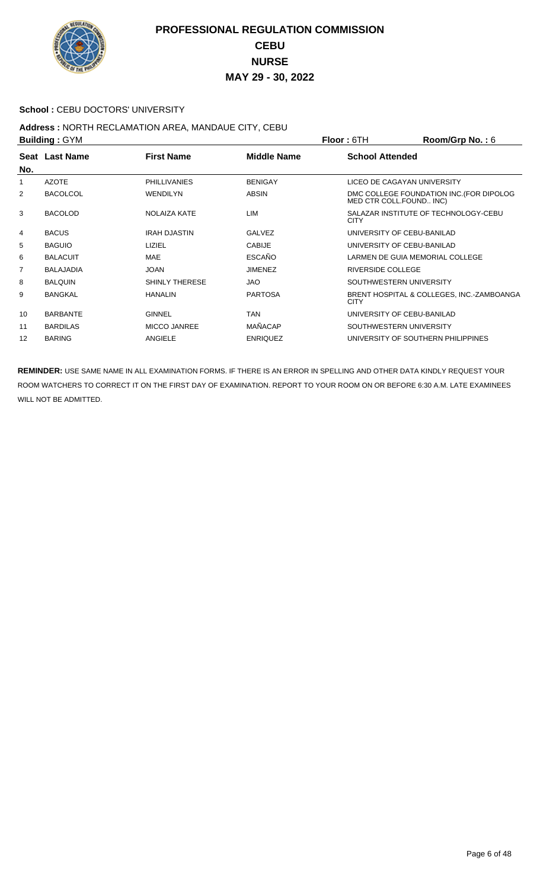

#### School : CEBU DOCTORS' UNIVERSITY

# **Address :** NORTH RECLAMATION AREA, MANDAUE CITY, CEBU

| <b>Building: GYM</b> |                  |                     |                    | <b>Floor: 6TH</b>                  | Room/Grp No.: $6$                         |
|----------------------|------------------|---------------------|--------------------|------------------------------------|-------------------------------------------|
| No.                  | Seat Last Name   | <b>First Name</b>   | <b>Middle Name</b> | <b>School Attended</b>             |                                           |
| 1                    | <b>AZOTE</b>     | <b>PHILLIVANIES</b> | <b>BENIGAY</b>     | LICEO DE CAGAYAN UNIVERSITY        |                                           |
| 2                    | <b>BACOLCOL</b>  | <b>WENDILYN</b>     | <b>ABSIN</b>       | MED CTR COLL.FOUND INC)            | DMC COLLEGE FOUNDATION INC. (FOR DIPOLOG  |
| 3                    | <b>BACOLOD</b>   | <b>NOLAIZA KATE</b> | <b>LIM</b>         | <b>CITY</b>                        | SALAZAR INSTITUTE OF TECHNOLOGY-CEBU      |
| 4                    | <b>BACUS</b>     | <b>IRAH DJASTIN</b> | <b>GALVEZ</b>      | UNIVERSITY OF CEBU-BANILAD         |                                           |
| 5                    | <b>BAGUIO</b>    | LIZIEL              | <b>CABIJE</b>      | UNIVERSITY OF CEBU-BANILAD         |                                           |
| 6                    | <b>BALACUIT</b>  | <b>MAE</b>          | <b>ESCAÑO</b>      | LARMEN DE GUIA MEMORIAL COLLEGE    |                                           |
| 7                    | <b>BALAJADIA</b> | <b>JOAN</b>         | <b>JIMENEZ</b>     | <b>RIVERSIDE COLLEGE</b>           |                                           |
| 8                    | <b>BALQUIN</b>   | SHINLY THERESE      | JAO                | SOUTHWESTERN UNIVERSITY            |                                           |
| 9                    | <b>BANGKAL</b>   | <b>HANALIN</b>      | <b>PARTOSA</b>     | <b>CITY</b>                        | BRENT HOSPITAL & COLLEGES, INC.-ZAMBOANGA |
| 10                   | <b>BARBANTE</b>  | <b>GINNEL</b>       | <b>TAN</b>         | UNIVERSITY OF CEBU-BANILAD         |                                           |
| 11                   | <b>BARDILAS</b>  | <b>MICCO JANREE</b> | <b>MAÑACAP</b>     | SOUTHWESTERN UNIVERSITY            |                                           |
| 12                   | <b>BARING</b>    | ANGIELE             | <b>ENRIQUEZ</b>    | UNIVERSITY OF SOUTHERN PHILIPPINES |                                           |
|                      |                  |                     |                    |                                    |                                           |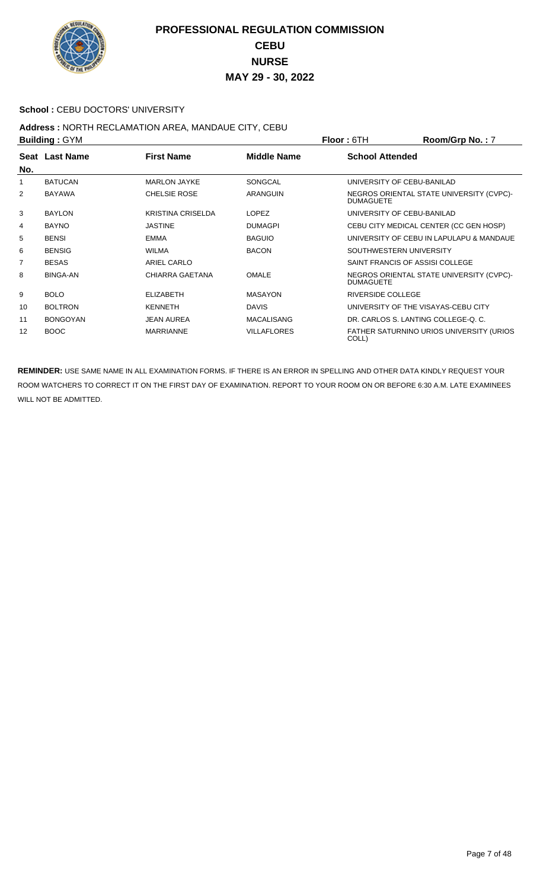

#### School : CEBU DOCTORS' UNIVERSITY

# **Address :** NORTH RECLAMATION AREA, MANDAUE CITY, CEBU

| <b>Building: GYM</b> |                 |                          |                    | <b>Floor: 6TH</b>                   | Room/Grp No.: 7                          |
|----------------------|-----------------|--------------------------|--------------------|-------------------------------------|------------------------------------------|
| No.                  | Seat Last Name  | <b>First Name</b>        | <b>Middle Name</b> | <b>School Attended</b>              |                                          |
| 1                    | <b>BATUCAN</b>  | <b>MARLON JAYKE</b>      | <b>SONGCAL</b>     | UNIVERSITY OF CEBU-BANILAD          |                                          |
| 2                    | <b>BAYAWA</b>   | <b>CHELSIE ROSE</b>      | ARANGUIN           | <b>DUMAGUETE</b>                    | NEGROS ORIENTAL STATE UNIVERSITY (CVPC)- |
| 3                    | <b>BAYLON</b>   | <b>KRISTINA CRISELDA</b> | <b>LOPEZ</b>       | UNIVERSITY OF CEBU-BANILAD          |                                          |
| 4                    | <b>BAYNO</b>    | <b>JASTINE</b>           | <b>DUMAGPI</b>     |                                     | CEBU CITY MEDICAL CENTER (CC GEN HOSP)   |
| 5                    | <b>BENSI</b>    | <b>EMMA</b>              | <b>BAGUIO</b>      |                                     | UNIVERSITY OF CEBU IN LAPULAPU & MANDAUE |
| 6                    | <b>BENSIG</b>   | <b>WILMA</b>             | <b>BACON</b>       | SOUTHWESTERN UNIVERSITY             |                                          |
| 7                    | <b>BESAS</b>    | <b>ARIEL CARLO</b>       |                    | SAINT FRANCIS OF ASSISI COLLEGE     |                                          |
| 8                    | <b>BINGA-AN</b> | CHIARRA GAETANA          | <b>OMALE</b>       | <b>DUMAGUETE</b>                    | NEGROS ORIENTAL STATE UNIVERSITY (CVPC)- |
| 9                    | <b>BOLO</b>     | <b>ELIZABETH</b>         | <b>MASAYON</b>     | <b>RIVERSIDE COLLEGE</b>            |                                          |
| 10                   | <b>BOLTRON</b>  | <b>KENNETH</b>           | <b>DAVIS</b>       | UNIVERSITY OF THE VISAYAS-CEBU CITY |                                          |
| 11                   | <b>BONGOYAN</b> | <b>JEAN AUREA</b>        | <b>MACALISANG</b>  | DR. CARLOS S. LANTING COLLEGE-O. C. |                                          |
| 12                   | <b>BOOC</b>     | <b>MARRIANNE</b>         | <b>VILLAFLORES</b> | COLL)                               | FATHER SATURNINO URIOS UNIVERSITY (URIOS |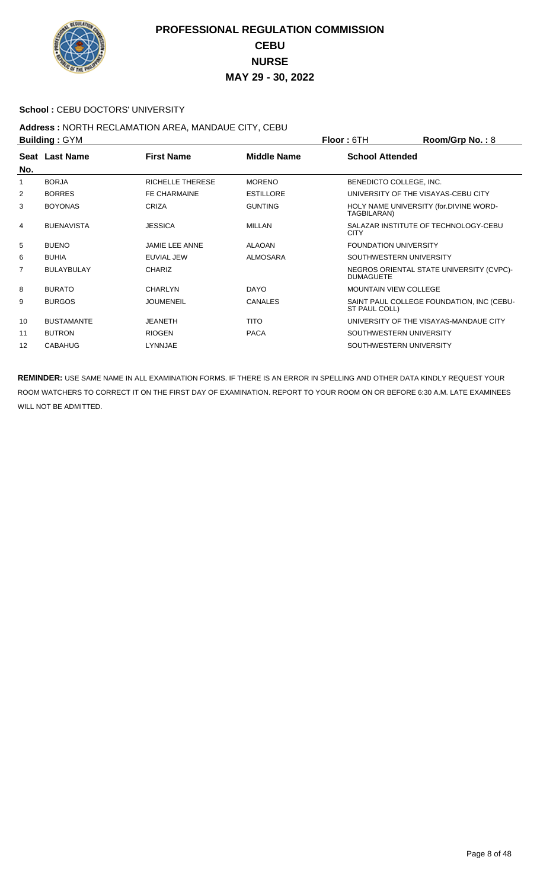

#### **School : CEBU DOCTORS' UNIVERSITY**

#### **Address :** NORTH RECLAMATION AREA, MANDAUE CITY, CEBU **Building :** GYM **Floor :** 6TH **Room/Grp No. :** 8

| <b>DUILUILLY . OT IVE</b> |                   |                       | FIUUL. UIII        | <b>NUUIIIUI U IVU.</b> . 0   |                                           |
|---------------------------|-------------------|-----------------------|--------------------|------------------------------|-------------------------------------------|
| No.                       | Seat Last Name    | <b>First Name</b>     | <b>Middle Name</b> | <b>School Attended</b>       |                                           |
| 1                         | <b>BORJA</b>      | RICHELLE THERESE      | <b>MORENO</b>      | BENEDICTO COLLEGE, INC.      |                                           |
| 2                         | <b>BORRES</b>     | <b>FE CHARMAINE</b>   | <b>ESTILLORE</b>   |                              | UNIVERSITY OF THE VISAYAS-CEBU CITY       |
| 3                         | <b>BOYONAS</b>    | <b>CRIZA</b>          | <b>GUNTING</b>     | TAGBILARAN)                  | HOLY NAME UNIVERSITY (for.DIVINE WORD-    |
| 4                         | <b>BUENAVISTA</b> | <b>JESSICA</b>        | <b>MILLAN</b>      | <b>CITY</b>                  | SALAZAR INSTITUTE OF TECHNOLOGY-CEBU      |
| 5                         | <b>BUENO</b>      | <b>JAMIE LEE ANNE</b> | <b>ALAOAN</b>      | <b>FOUNDATION UNIVERSITY</b> |                                           |
| 6                         | <b>BUHIA</b>      | EUVIAL JEW            | <b>ALMOSARA</b>    | SOUTHWESTERN UNIVERSITY      |                                           |
| $\overline{7}$            | <b>BULAYBULAY</b> | <b>CHARIZ</b>         |                    | <b>DUMAGUETE</b>             | NEGROS ORIENTAL STATE UNIVERSITY (CVPC)-  |
| 8                         | <b>BURATO</b>     | <b>CHARLYN</b>        | <b>DAYO</b>        | <b>MOUNTAIN VIEW COLLEGE</b> |                                           |
| 9                         | <b>BURGOS</b>     | <b>JOUMENEIL</b>      | <b>CANALES</b>     | ST PAUL COLL)                | SAINT PAUL COLLEGE FOUNDATION, INC (CEBU- |
| 10                        | <b>BUSTAMANTE</b> | <b>JEANETH</b>        | <b>TITO</b>        |                              | UNIVERSITY OF THE VISAYAS-MANDAUE CITY    |
| 11                        | <b>BUTRON</b>     | <b>RIOGEN</b>         | <b>PACA</b>        | SOUTHWESTERN UNIVERSITY      |                                           |
| 12                        | <b>CABAHUG</b>    | LYNNJAE               |                    | SOUTHWESTERN UNIVERSITY      |                                           |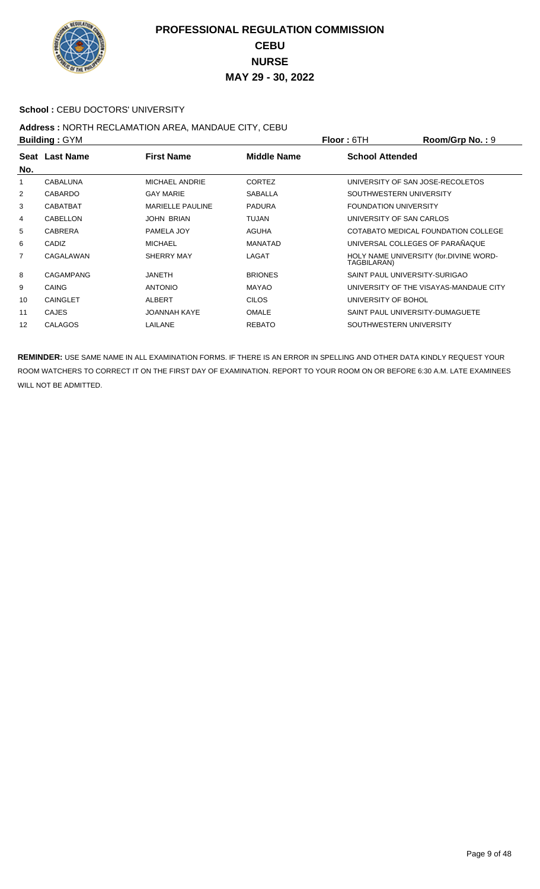

#### School : CEBU DOCTORS' UNIVERSITY

#### **Address :** NORTH RECLAMATION AREA, MANDAUE CITY, CEBU **Building :** GYM **Floor :** 6TH **Room/Grp No. :** 9

| P   |                  |                         |                    | <u>IIUU . UIII</u><br>או עוטוועטווועס $\mathbf{u}$ . $\mathbf{v}$ |
|-----|------------------|-------------------------|--------------------|-------------------------------------------------------------------|
|     | Seat Last Name   | <b>First Name</b>       | <b>Middle Name</b> | <b>School Attended</b>                                            |
| No. |                  |                         |                    |                                                                   |
| 1   | CABALUNA         | MICHAEL ANDRIE          | <b>CORTEZ</b>      | UNIVERSITY OF SAN JOSE-RECOLETOS                                  |
| 2   | <b>CABARDO</b>   | <b>GAY MARIE</b>        | <b>SABALLA</b>     | SOUTHWESTERN UNIVERSITY                                           |
| 3   | CABATBAT         | <b>MARIELLE PAULINE</b> | <b>PADURA</b>      | <b>FOUNDATION UNIVERSITY</b>                                      |
| 4   | CABELLON         | JOHN BRIAN              | TUJAN              | UNIVERSITY OF SAN CARLOS                                          |
| 5   | <b>CABRERA</b>   | PAMELA JOY              | <b>AGUHA</b>       | COTABATO MEDICAL FOUNDATION COLLEGE                               |
| 6   | CADIZ            | <b>MICHAEL</b>          | <b>MANATAD</b>     | UNIVERSAL COLLEGES OF PARAÑAQUE                                   |
| 7   | CAGALAWAN        | SHERRY MAY              | LAGAT              | HOLY NAME UNIVERSITY (for.DIVINE WORD-<br>TAGBILARAN)             |
| 8   | <b>CAGAMPANG</b> | <b>JANETH</b>           | <b>BRIONES</b>     | SAINT PAUL UNIVERSITY-SURIGAO                                     |
| 9   | CAING            | <b>ANTONIO</b>          | <b>MAYAO</b>       | UNIVERSITY OF THE VISAYAS-MANDAUE CITY                            |
| 10  | <b>CAINGLET</b>  | ALBERT                  | <b>CILOS</b>       | UNIVERSITY OF BOHOL                                               |
| 11  | <b>CAJES</b>     | <b>JOANNAH KAYE</b>     | <b>OMALE</b>       | SAINT PAUL UNIVERSITY-DUMAGUETE                                   |
| 12  | <b>CALAGOS</b>   | LAILANE                 | <b>REBATO</b>      | SOUTHWESTERN UNIVERSITY                                           |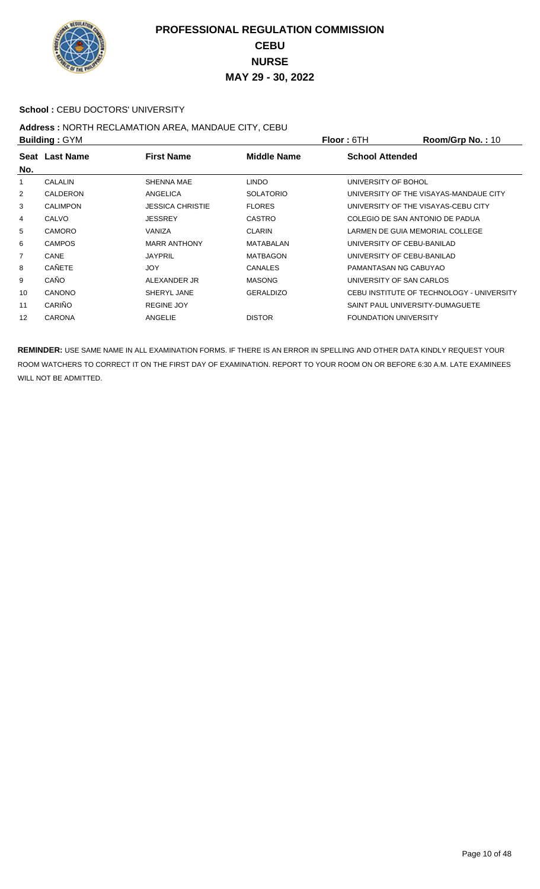

#### School : CEBU DOCTORS' UNIVERSITY

# **Address :** NORTH RECLAMATION AREA, MANDAUE CITY, CEBU

| <b>Building: GYM</b> |                 |                         |                  | <b>Floor: 6TH</b>                   | Room/Grp No.: 10                          |
|----------------------|-----------------|-------------------------|------------------|-------------------------------------|-------------------------------------------|
| No.                  | Seat Last Name  | <b>First Name</b>       | Middle Name      | <b>School Attended</b>              |                                           |
| 1                    | <b>CALALIN</b>  | SHENNA MAE              | <b>LINDO</b>     | UNIVERSITY OF BOHOL                 |                                           |
| 2                    | CALDERON        | ANGELICA                | <b>SOLATORIO</b> |                                     | UNIVERSITY OF THE VISAYAS-MANDAUE CITY    |
| 3                    | <b>CALIMPON</b> | <b>JESSICA CHRISTIE</b> | <b>FLORES</b>    | UNIVERSITY OF THE VISAYAS-CEBU CITY |                                           |
| 4                    | CALVO           | <b>JESSREY</b>          | <b>CASTRO</b>    | COLEGIO DE SAN ANTONIO DE PADUA     |                                           |
| 5                    | <b>CAMORO</b>   | VANIZA                  | <b>CLARIN</b>    | LARMEN DE GUIA MEMORIAL COLLEGE     |                                           |
| 6                    | <b>CAMPOS</b>   | <b>MARR ANTHONY</b>     | MATABALAN        | UNIVERSITY OF CEBU-BANILAD          |                                           |
| $\overline{7}$       | CANE            | <b>JAYPRIL</b>          | <b>MATBAGON</b>  | UNIVERSITY OF CEBU-BANILAD          |                                           |
| 8                    | <b>CAÑETE</b>   | <b>JOY</b>              | <b>CANALES</b>   | PAMANTASAN NG CABUYAO               |                                           |
| 9                    | CAÑO            | ALEXANDER JR            | <b>MASONG</b>    | UNIVERSITY OF SAN CARLOS            |                                           |
| 10                   | <b>CANONO</b>   | SHERYL JANE             | <b>GERALDIZO</b> |                                     | CEBU INSTITUTE OF TECHNOLOGY - UNIVERSITY |
| 11                   | CARIÑO          | <b>REGINE JOY</b>       |                  | SAINT PAUL UNIVERSITY-DUMAGUETE     |                                           |
| 12                   | <b>CARONA</b>   | ANGELIE                 | <b>DISTOR</b>    | <b>FOUNDATION UNIVERSITY</b>        |                                           |
|                      |                 |                         |                  |                                     |                                           |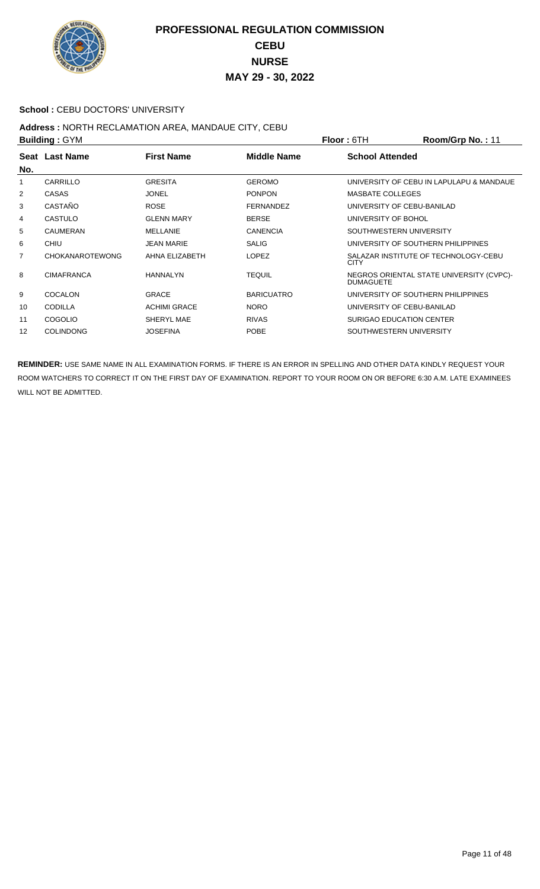

#### School : CEBU DOCTORS' UNIVERSITY

## **Address :** NORTH RECLAMATION AREA, MANDAUE CITY, CEBU

| <b>Building: GYM</b> |                        |                     |                   | <b>Floor: 6TH</b>          | Room/Grp No.: 11                         |
|----------------------|------------------------|---------------------|-------------------|----------------------------|------------------------------------------|
| No.                  | Seat Last Name         | <b>First Name</b>   | Middle Name       | <b>School Attended</b>     |                                          |
| 1                    | CARRILLO               | GRESITA             | <b>GEROMO</b>     |                            | UNIVERSITY OF CEBU IN LAPULAPU & MANDAUE |
| 2                    | <b>CASAS</b>           | <b>JONEL</b>        | <b>PONPON</b>     | <b>MASBATE COLLEGES</b>    |                                          |
| 3                    | CASTAÑO                | <b>ROSE</b>         | <b>FERNANDEZ</b>  | UNIVERSITY OF CEBU-BANILAD |                                          |
| 4                    | <b>CASTULO</b>         | <b>GLENN MARY</b>   | <b>BERSE</b>      | UNIVERSITY OF BOHOL        |                                          |
| 5                    | CAUMERAN               | MELLANIE            | <b>CANENCIA</b>   | SOUTHWESTERN UNIVERSITY    |                                          |
| 6                    | CHIU                   | <b>JEAN MARIE</b>   | <b>SALIG</b>      |                            | UNIVERSITY OF SOUTHERN PHILIPPINES       |
| $\overline{7}$       | <b>CHOKANAROTEWONG</b> | AHNA ELIZABETH      | <b>LOPEZ</b>      | <b>CITY</b>                | SALAZAR INSTITUTE OF TECHNOLOGY-CEBU     |
| 8                    | <b>CIMAFRANCA</b>      | HANNALYN            | <b>TEQUIL</b>     | <b>DUMAGUETE</b>           | NEGROS ORIENTAL STATE UNIVERSITY (CVPC)- |
| 9                    | <b>COCALON</b>         | <b>GRACE</b>        | <b>BARICUATRO</b> |                            | UNIVERSITY OF SOUTHERN PHILIPPINES       |
| 10                   | <b>CODILLA</b>         | <b>ACHIMI GRACE</b> | <b>NORO</b>       | UNIVERSITY OF CEBU-BANILAD |                                          |
| 11                   | COGOLIO                | SHERYL MAE          | <b>RIVAS</b>      | SURIGAO EDUCATION CENTER   |                                          |
| 12                   | <b>COLINDONG</b>       | <b>JOSEFINA</b>     | <b>POBE</b>       | SOUTHWESTERN UNIVERSITY    |                                          |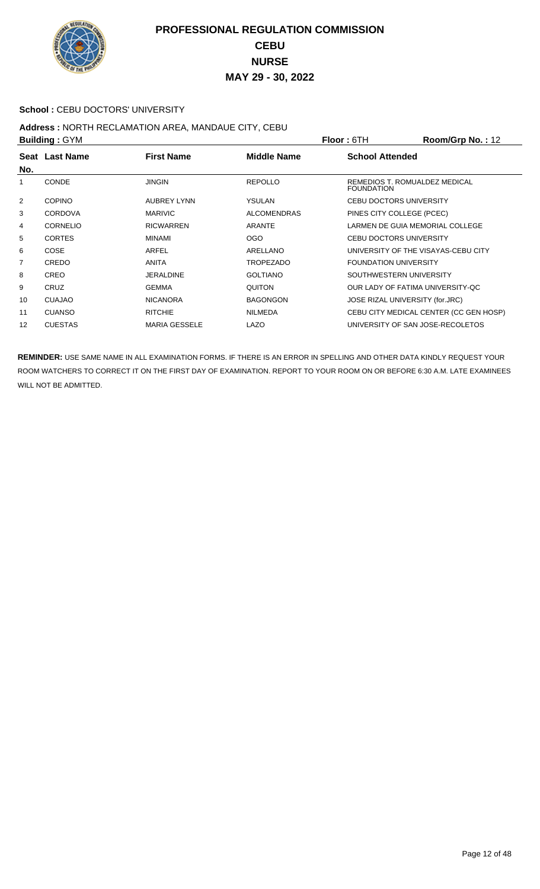

#### School : CEBU DOCTORS' UNIVERSITY

## **Address :** NORTH RECLAMATION AREA, MANDAUE CITY, CEBU

| <b>Building: GYM</b> |                 |                      |                    | <b>Floor: 6TH</b>                                  | Room/Grp No.: 12                       |
|----------------------|-----------------|----------------------|--------------------|----------------------------------------------------|----------------------------------------|
|                      | Seat Last Name  | <b>First Name</b>    | <b>Middle Name</b> | <b>School Attended</b>                             |                                        |
| No.                  |                 |                      |                    |                                                    |                                        |
| 1                    | <b>CONDE</b>    | <b>JINGIN</b>        | <b>REPOLLO</b>     | REMEDIOS T. ROMUALDEZ MEDICAL<br><b>FOUNDATION</b> |                                        |
| 2                    | <b>COPINO</b>   | <b>AUBREY LYNN</b>   | <b>YSULAN</b>      | <b>CEBU DOCTORS UNIVERSITY</b>                     |                                        |
| 3                    | <b>CORDOVA</b>  | <b>MARIVIC</b>       | <b>ALCOMENDRAS</b> | PINES CITY COLLEGE (PCEC)                          |                                        |
| 4                    | <b>CORNELIO</b> | <b>RICWARREN</b>     | <b>ARANTE</b>      | LARMEN DE GUIA MEMORIAL COLLEGE                    |                                        |
| 5                    | <b>CORTES</b>   | MINAMI               | <b>OGO</b>         | CEBU DOCTORS UNIVERSITY                            |                                        |
| 6                    | COSE            | ARFEL                | ARELLANO           | UNIVERSITY OF THE VISAYAS-CEBU CITY                |                                        |
| 7                    | CREDO           | <b>ANITA</b>         | <b>TROPEZADO</b>   | <b>FOUNDATION UNIVERSITY</b>                       |                                        |
| 8                    | <b>CREO</b>     | <b>JERALDINE</b>     | <b>GOLTIANO</b>    | SOUTHWESTERN UNIVERSITY                            |                                        |
| 9                    | CRUZ            | <b>GEMMA</b>         | <b>QUITON</b>      | OUR LADY OF FATIMA UNIVERSITY-QC                   |                                        |
| 10                   | <b>CUAJAO</b>   | <b>NICANORA</b>      | <b>BAGONGON</b>    | JOSE RIZAL UNIVERSITY (for.JRC)                    |                                        |
| 11                   | <b>CUANSO</b>   | <b>RITCHIE</b>       | <b>NILMEDA</b>     |                                                    | CEBU CITY MEDICAL CENTER (CC GEN HOSP) |
| 12                   | <b>CUESTAS</b>  | <b>MARIA GESSELE</b> | LAZO               | UNIVERSITY OF SAN JOSE-RECOLETOS                   |                                        |
|                      |                 |                      |                    |                                                    |                                        |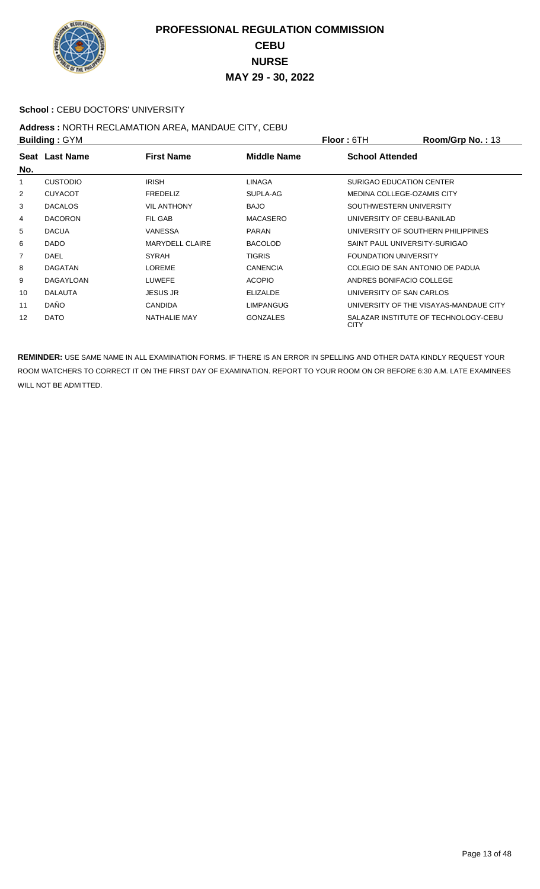

#### School : CEBU DOCTORS' UNIVERSITY

## **Address :** NORTH RECLAMATION AREA, MANDAUE CITY, CEBU

| <b>Building: GYM</b> |                  |                        |                    | <b>Floor: 6TH</b>            | Room/Grp No.: 13                       |
|----------------------|------------------|------------------------|--------------------|------------------------------|----------------------------------------|
| No.                  | Seat Last Name   | <b>First Name</b>      | <b>Middle Name</b> | <b>School Attended</b>       |                                        |
| 1                    | <b>CUSTODIO</b>  | <b>IRISH</b>           | LINAGA             |                              | SURIGAO EDUCATION CENTER               |
| $\overline{2}$       | <b>CUYACOT</b>   | <b>FREDELIZ</b>        | SUPLA-AG           |                              | MEDINA COLLEGE-OZAMIS CITY             |
| 3                    | <b>DACALOS</b>   | <b>VIL ANTHONY</b>     | <b>BAJO</b>        |                              | SOUTHWESTERN UNIVERSITY                |
| 4                    | <b>DACORON</b>   | FIL GAB                | <b>MACASERO</b>    |                              | UNIVERSITY OF CEBU-BANILAD             |
| 5                    | <b>DACUA</b>     | VANESSA                | <b>PARAN</b>       |                              | UNIVERSITY OF SOUTHERN PHILIPPINES     |
| 6                    | <b>DADO</b>      | <b>MARYDELL CLAIRE</b> | <b>BACOLOD</b>     |                              | SAINT PAUL UNIVERSITY-SURIGAO          |
| 7                    | DAEL             | <b>SYRAH</b>           | <b>TIGRIS</b>      | <b>FOUNDATION UNIVERSITY</b> |                                        |
| 8                    | <b>DAGATAN</b>   | LOREME                 | <b>CANENCIA</b>    |                              | COLEGIO DE SAN ANTONIO DE PADUA        |
| 9                    | <b>DAGAYLOAN</b> | <b>LUWEFE</b>          | <b>ACOPIO</b>      |                              | ANDRES BONIFACIO COLLEGE               |
| 10                   | <b>DALAUTA</b>   | <b>JESUS JR</b>        | <b>ELIZALDE</b>    |                              | UNIVERSITY OF SAN CARLOS               |
| 11                   | <b>DAÑO</b>      | <b>CANDIDA</b>         | <b>LIMPANGUG</b>   |                              | UNIVERSITY OF THE VISAYAS-MANDAUE CITY |
| 12                   | <b>DATO</b>      | NATHALIE MAY           | <b>GONZALES</b>    | <b>CITY</b>                  | SALAZAR INSTITUTE OF TECHNOLOGY-CEBU   |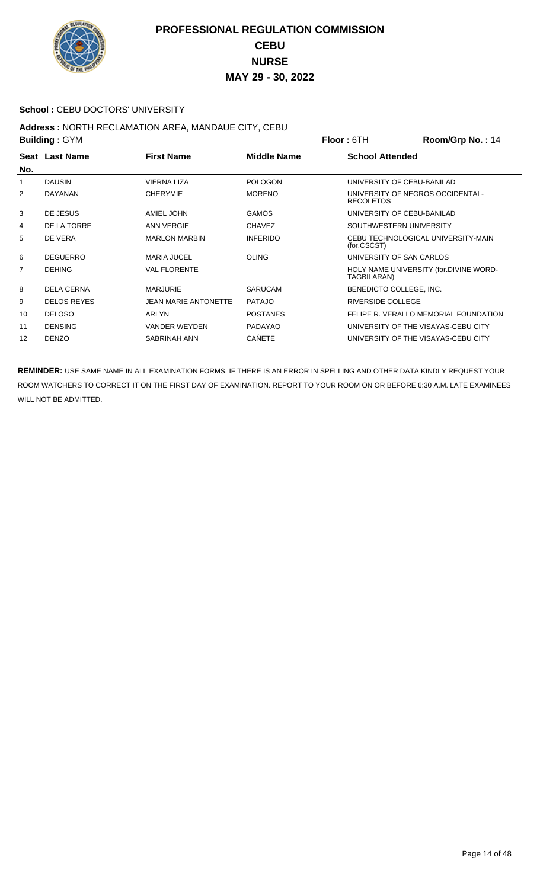

#### School : CEBU DOCTORS' UNIVERSITY

#### **Address :** NORTH RECLAMATION AREA, MANDAUE CITY, CEBU **Building :** GYM **Floor :** 6TH **Room/Grp No. :** 14

| <b>DUILUILLY . OT IVE</b> |                    |                             |                    | FIUUL. UIII              | <b>NUUIII/UI µ IVU.</b> . 14           |
|---------------------------|--------------------|-----------------------------|--------------------|--------------------------|----------------------------------------|
|                           | Seat Last Name     | <b>First Name</b>           | <b>Middle Name</b> | <b>School Attended</b>   |                                        |
| No.                       |                    |                             |                    |                          |                                        |
| 1                         | <b>DAUSIN</b>      | <b>VIERNA LIZA</b>          | <b>POLOGON</b>     |                          | UNIVERSITY OF CEBU-BANILAD             |
| 2                         | <b>DAYANAN</b>     | <b>CHERYMIE</b>             | <b>MORENO</b>      | <b>RECOLETOS</b>         | UNIVERSITY OF NEGROS OCCIDENTAL-       |
| 3                         | DE JESUS           | AMIEL JOHN                  | <b>GAMOS</b>       |                          | UNIVERSITY OF CEBU-BANILAD             |
| 4                         | DE LA TORRE        | <b>ANN VERGIE</b>           | <b>CHAVEZ</b>      | SOUTHWESTERN UNIVERSITY  |                                        |
| 5                         | DE VERA            | <b>MARLON MARBIN</b>        | <b>INFERIDO</b>    | (for.CSCST)              | CEBU TECHNOLOGICAL UNIVERSITY-MAIN     |
| 6                         | <b>DEGUERRO</b>    | <b>MARIA JUCEL</b>          | OLING              | UNIVERSITY OF SAN CARLOS |                                        |
| 7                         | <b>DEHING</b>      | <b>VAL FLORENTE</b>         |                    | TAGBILARAN)              | HOLY NAME UNIVERSITY (for.DIVINE WORD- |
| 8                         | <b>DELA CERNA</b>  | <b>MARJURIE</b>             | <b>SARUCAM</b>     | BENEDICTO COLLEGE, INC.  |                                        |
| 9                         | <b>DELOS REYES</b> | <b>JEAN MARIE ANTONETTE</b> | <b>PATAJO</b>      | <b>RIVERSIDE COLLEGE</b> |                                        |
| 10                        | <b>DELOSO</b>      | <b>ARLYN</b>                | <b>POSTANES</b>    |                          | FELIPE R. VERALLO MEMORIAL FOUNDATION  |
| 11                        | <b>DENSING</b>     | <b>VANDER WEYDEN</b>        | PADAYAO            |                          | UNIVERSITY OF THE VISAYAS-CEBU CITY    |
| 12                        | <b>DENZO</b>       | SABRINAH ANN                | <b>CAÑETE</b>      |                          | UNIVERSITY OF THE VISAYAS-CEBU CITY    |
|                           |                    |                             |                    |                          |                                        |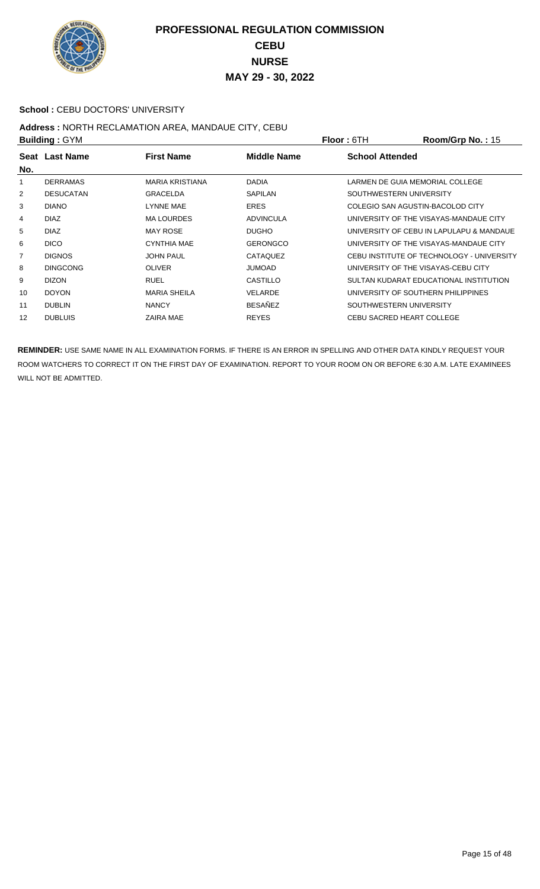

#### School : CEBU DOCTORS' UNIVERSITY

#### **Address :** NORTH RECLAMATION AREA, MANDAUE CITY, CEBU **Building :** GYM **Floor :** 6TH **Room/Grp No. :** 15

| <b>DUILUILLY . OT IVE</b> |                  |                        |                  | FIUUI.UII<br><b>NUUIII/UI DI NU.</b> . IU |
|---------------------------|------------------|------------------------|------------------|-------------------------------------------|
| No.                       | Seat Last Name   | <b>First Name</b>      | Middle Name      | <b>School Attended</b>                    |
| 1                         | <b>DERRAMAS</b>  | <b>MARIA KRISTIANA</b> | <b>DADIA</b>     | LARMEN DE GUIA MEMORIAL COLLEGE           |
| $\overline{2}$            | <b>DESUCATAN</b> | <b>GRACELDA</b>        | <b>SAPILAN</b>   | SOUTHWESTERN UNIVERSITY                   |
| 3                         | <b>DIANO</b>     | LYNNE MAE              | <b>ERES</b>      | COLEGIO SAN AGUSTIN-BACOLOD CITY          |
| 4                         | <b>DIAZ</b>      | <b>MA LOURDES</b>      | <b>ADVINCULA</b> | UNIVERSITY OF THE VISAYAS-MANDAUE CITY    |
| 5                         | <b>DIAZ</b>      | <b>MAY ROSE</b>        | <b>DUGHO</b>     | UNIVERSITY OF CEBU IN LAPULAPU & MANDAUE  |
| 6                         | <b>DICO</b>      | <b>CYNTHIA MAE</b>     | <b>GERONGCO</b>  | UNIVERSITY OF THE VISAYAS-MANDAUE CITY    |
| $\overline{7}$            | <b>DIGNOS</b>    | <b>JOHN PAUL</b>       | <b>CATAQUEZ</b>  | CEBU INSTITUTE OF TECHNOLOGY - UNIVERSITY |
| 8                         | <b>DINGCONG</b>  | <b>OLIVER</b>          | <b>JUMOAD</b>    | UNIVERSITY OF THE VISAYAS-CEBU CITY       |
| 9                         | <b>DIZON</b>     | <b>RUEL</b>            | CASTILLO         | SULTAN KUDARAT EDUCATIONAL INSTITUTION    |
| 10                        | <b>DOYON</b>     | <b>MARIA SHEILA</b>    | <b>VELARDE</b>   | UNIVERSITY OF SOUTHERN PHILIPPINES        |
| 11                        | <b>DUBLIN</b>    | <b>NANCY</b>           | <b>BESAÑEZ</b>   | SOUTHWESTERN UNIVERSITY                   |
| 12                        | <b>DUBLUIS</b>   | ZAIRA MAE              | <b>REYES</b>     | CEBU SACRED HEART COLLEGE                 |
|                           |                  |                        |                  |                                           |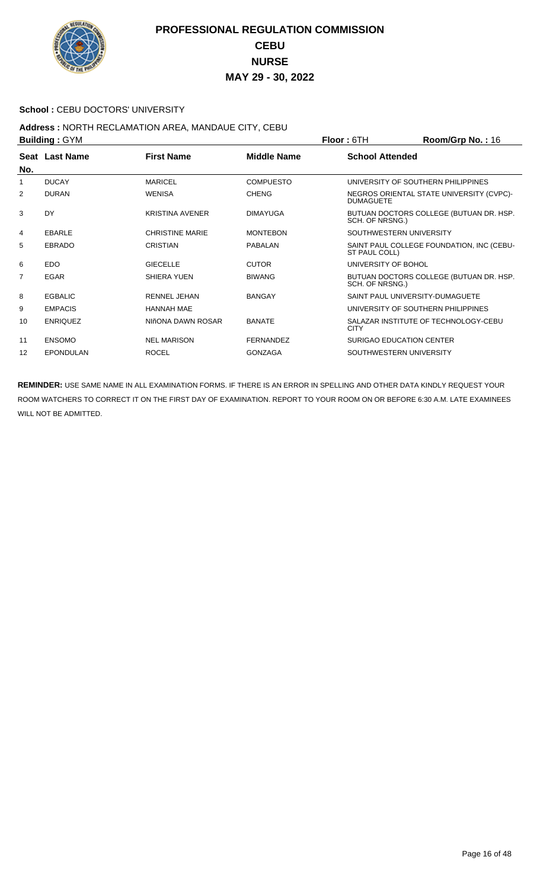

#### School : CEBU DOCTORS' UNIVERSITY

#### **Address :** NORTH RECLAMATION AREA, MANDAUE CITY, CEBU **Building :** GYM **Floor :** 6TH **Room/Grp No. :** 16

|     | P                |                        |                    | <u>IIUUI.UIII</u><br><b>NUVILIUS DI NU.</b> . TU             |
|-----|------------------|------------------------|--------------------|--------------------------------------------------------------|
|     | Seat Last Name   | <b>First Name</b>      | <b>Middle Name</b> | <b>School Attended</b>                                       |
| No. |                  |                        |                    |                                                              |
| 1   | <b>DUCAY</b>     | <b>MARICEL</b>         | <b>COMPUESTO</b>   | UNIVERSITY OF SOUTHERN PHILIPPINES                           |
| 2   | <b>DURAN</b>     | <b>WENISA</b>          | <b>CHENG</b>       | NEGROS ORIENTAL STATE UNIVERSITY (CVPC)-<br><b>DUMAGUETE</b> |
| 3   | <b>DY</b>        | <b>KRISTINA AVENER</b> | <b>DIMAYUGA</b>    | BUTUAN DOCTORS COLLEGE (BUTUAN DR. HSP.<br>SCH. OF NRSNG.)   |
| 4   | <b>EBARLE</b>    | <b>CHRISTINE MARIE</b> | <b>MONTEBON</b>    | SOUTHWESTERN UNIVERSITY                                      |
| 5   | <b>EBRADO</b>    | <b>CRISTIAN</b>        | <b>PABALAN</b>     | SAINT PAUL COLLEGE FOUNDATION, INC (CEBU-<br>ST PAUL COLL)   |
| 6   | <b>EDO</b>       | <b>GIECELLE</b>        | <b>CUTOR</b>       | UNIVERSITY OF BOHOL                                          |
| 7   | <b>EGAR</b>      | SHIERA YUEN            | <b>BIWANG</b>      | BUTUAN DOCTORS COLLEGE (BUTUAN DR. HSP.<br>SCH. OF NRSNG.)   |
| 8   | <b>EGBALIC</b>   | <b>RENNEL JEHAN</b>    | <b>BANGAY</b>      | SAINT PAUL UNIVERSITY-DUMAGUETE                              |
| 9   | <b>EMPACIS</b>   | <b>HANNAH MAE</b>      |                    | UNIVERSITY OF SOUTHERN PHILIPPINES                           |
| 10  | <b>ENRIQUEZ</b>  | NIñONA DAWN ROSAR      | <b>BANATE</b>      | SALAZAR INSTITUTE OF TECHNOLOGY-CEBU<br><b>CITY</b>          |
| 11  | <b>ENSOMO</b>    | <b>NEL MARISON</b>     | <b>FERNANDEZ</b>   | SURIGAO EDUCATION CENTER                                     |
| 12  | <b>EPONDULAN</b> | <b>ROCEL</b>           | <b>GONZAGA</b>     | SOUTHWESTERN UNIVERSITY                                      |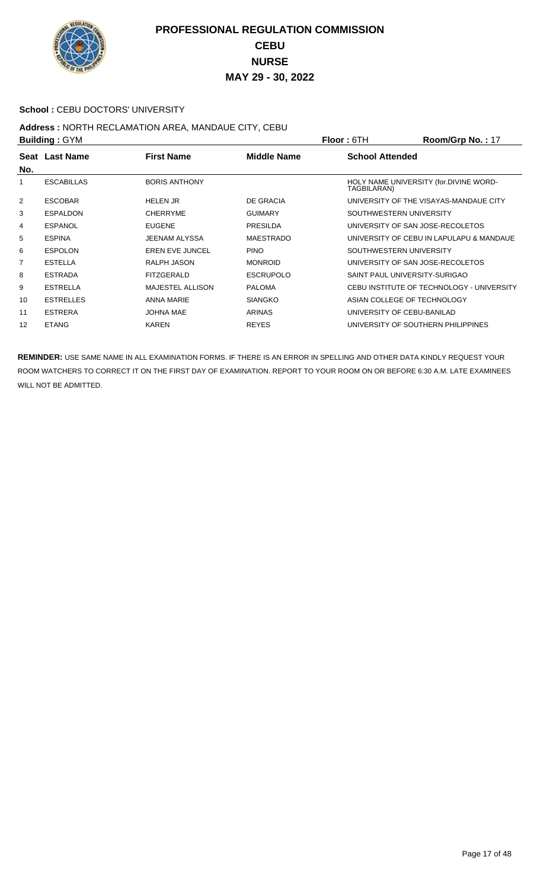

#### **School : CEBU DOCTORS' UNIVERSITY**

#### **Address :** NORTH RECLAMATION AREA, MANDAUE CITY, CEBU **Building :** GYM **Floor :** 6TH **Room/Grp No. :** 17

| <b>DUILUILLY .</b> OTIVE |                   |                         |                    | <u>IIUU . UIII</u>                                    | 1.0011101111011111 |
|--------------------------|-------------------|-------------------------|--------------------|-------------------------------------------------------|--------------------|
| No.                      | Seat Last Name    | <b>First Name</b>       | <b>Middle Name</b> | <b>School Attended</b>                                |                    |
| 1                        | <b>ESCABILLAS</b> | <b>BORIS ANTHONY</b>    |                    | HOLY NAME UNIVERSITY (for.DIVINE WORD-<br>TAGBILARAN) |                    |
| 2                        | <b>ESCOBAR</b>    | <b>HELEN JR</b>         | <b>DE GRACIA</b>   | UNIVERSITY OF THE VISAYAS-MANDAUE CITY                |                    |
| 3                        | <b>ESPALDON</b>   | <b>CHERRYME</b>         | <b>GUIMARY</b>     | SOUTHWESTERN UNIVERSITY                               |                    |
| 4                        | <b>ESPANOL</b>    | <b>EUGENE</b>           | <b>PRESILDA</b>    | UNIVERSITY OF SAN JOSE-RECOLETOS                      |                    |
| 5                        | <b>ESPINA</b>     | <b>JEENAM ALYSSA</b>    | <b>MAESTRADO</b>   | UNIVERSITY OF CEBU IN LAPULAPU & MANDAUE              |                    |
| 6                        | <b>ESPOLON</b>    | <b>EREN EVE JUNCEL</b>  | <b>PINO</b>        | SOUTHWESTERN UNIVERSITY                               |                    |
| $\overline{7}$           | <b>ESTELLA</b>    | RALPH JASON             | <b>MONROID</b>     | UNIVERSITY OF SAN JOSE-RECOLETOS                      |                    |
| 8                        | <b>ESTRADA</b>    | <b>FITZGERALD</b>       | <b>ESCRUPOLO</b>   | SAINT PAUL UNIVERSITY-SURIGAO                         |                    |
| 9                        | <b>ESTRELLA</b>   | <b>MAJESTEL ALLISON</b> | <b>PALOMA</b>      | CEBU INSTITUTE OF TECHNOLOGY - UNIVERSITY             |                    |
| 10                       | <b>ESTRELLES</b>  | <b>ANNA MARIE</b>       | <b>SIANGKO</b>     | ASIAN COLLEGE OF TECHNOLOGY                           |                    |
| 11                       | <b>ESTRERA</b>    | <b>JOHNA MAE</b>        | <b>ARINAS</b>      | UNIVERSITY OF CEBU-BANILAD                            |                    |
| 12                       | <b>ETANG</b>      | <b>KAREN</b>            | <b>REYES</b>       | UNIVERSITY OF SOUTHERN PHILIPPINES                    |                    |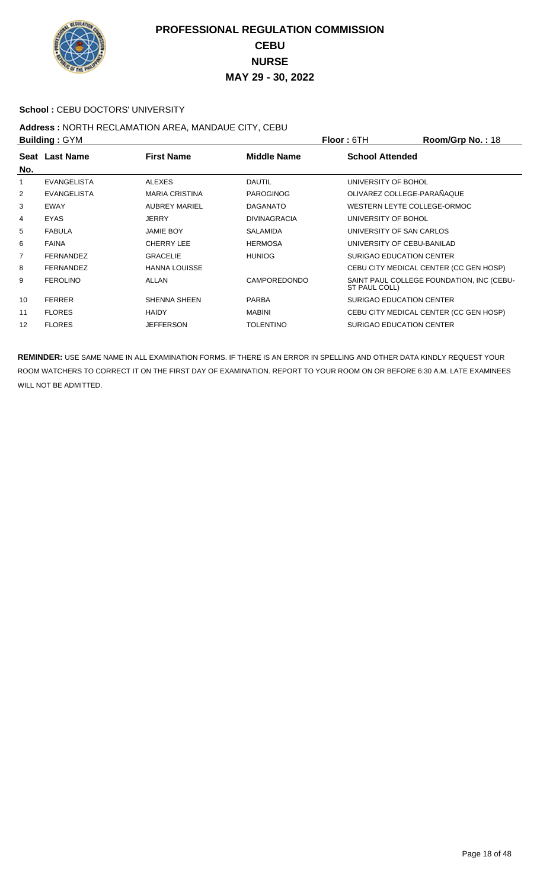

#### School : CEBU DOCTORS' UNIVERSITY

# **Address :** NORTH RECLAMATION AREA, MANDAUE CITY, CEBU

| <b>Building: GYM</b> |                    |                       |                     | Room/Grp No.: 18<br><b>Floor: 6TH</b>                      |  |
|----------------------|--------------------|-----------------------|---------------------|------------------------------------------------------------|--|
|                      | Seat Last Name     | <b>First Name</b>     | Middle Name         | <b>School Attended</b>                                     |  |
| No.                  |                    |                       |                     |                                                            |  |
| 1                    | <b>EVANGELISTA</b> | <b>ALEXES</b>         | <b>DAUTIL</b>       | UNIVERSITY OF BOHOL                                        |  |
| 2                    | <b>EVANGELISTA</b> | <b>MARIA CRISTINA</b> | <b>PAROGINOG</b>    | OLIVAREZ COLLEGE-PARAÑAQUE                                 |  |
| 3                    | <b>EWAY</b>        | <b>AUBREY MARIEL</b>  | <b>DAGANATO</b>     | WESTERN LEYTE COLLEGE-ORMOC                                |  |
| 4                    | <b>EYAS</b>        | <b>JERRY</b>          | <b>DIVINAGRACIA</b> | UNIVERSITY OF BOHOL                                        |  |
| 5                    | <b>FABULA</b>      | <b>JAMIE BOY</b>      | <b>SALAMIDA</b>     | UNIVERSITY OF SAN CARLOS                                   |  |
| 6                    | <b>FAINA</b>       | <b>CHERRY LEE</b>     | <b>HERMOSA</b>      | UNIVERSITY OF CEBU-BANILAD                                 |  |
| 7                    | <b>FERNANDEZ</b>   | <b>GRACELIE</b>       | <b>HUNIOG</b>       | SURIGAO EDUCATION CENTER                                   |  |
| 8                    | <b>FERNANDEZ</b>   | <b>HANNA LOUISSE</b>  |                     | CEBU CITY MEDICAL CENTER (CC GEN HOSP)                     |  |
| 9                    | <b>FEROLINO</b>    | ALLAN                 | <b>CAMPOREDONDO</b> | SAINT PAUL COLLEGE FOUNDATION, INC (CEBU-<br>ST PAUL COLL) |  |
| 10                   | <b>FERRER</b>      | <b>SHENNA SHEEN</b>   | <b>PARBA</b>        | SURIGAO EDUCATION CENTER                                   |  |
| 11                   | <b>FLORES</b>      | <b>HAIDY</b>          | <b>MABINI</b>       | CEBU CITY MEDICAL CENTER (CC GEN HOSP)                     |  |
| 12                   | <b>FLORES</b>      | <b>JEFFERSON</b>      | <b>TOLENTINO</b>    | <b>SURIGAO EDUCATION CENTER</b>                            |  |
|                      |                    |                       |                     |                                                            |  |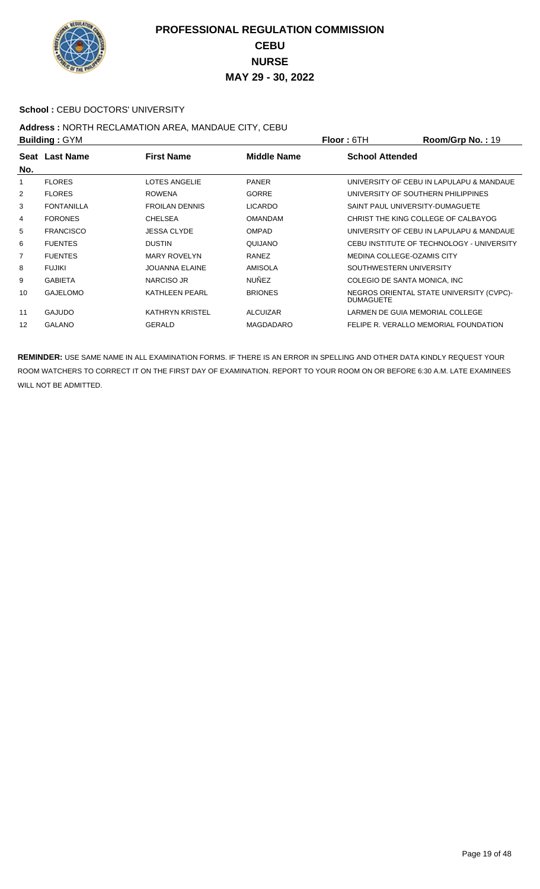

#### School : CEBU DOCTORS' UNIVERSITY

#### **Address :** NORTH RECLAMATION AREA, MANDAUE CITY, CEBU **Building :** GYM **Floor :** 6TH **Room/Grp No. :** 19

| P   |                   |                        |                    | <u>IIUUI.UIII</u>                     | <b>ישון עוטיוויטטא</b>                    |
|-----|-------------------|------------------------|--------------------|---------------------------------------|-------------------------------------------|
| No. | Seat Last Name    | <b>First Name</b>      | <b>Middle Name</b> | <b>School Attended</b>                |                                           |
| 1   | <b>FLORES</b>     | <b>LOTES ANGELIE</b>   | <b>PANER</b>       |                                       | UNIVERSITY OF CEBU IN LAPULAPU & MANDAUE  |
| 2   | <b>FLORES</b>     | <b>ROWENA</b>          | <b>GORRE</b>       | UNIVERSITY OF SOUTHERN PHILIPPINES    |                                           |
| 3   | <b>FONTANILLA</b> | <b>FROILAN DENNIS</b>  | <b>LICARDO</b>     | SAINT PAUL UNIVERSITY-DUMAGUETE       |                                           |
| 4   | <b>FORONES</b>    | <b>CHELSEA</b>         | <b>OMANDAM</b>     | CHRIST THE KING COLLEGE OF CALBAYOG   |                                           |
| 5   | <b>FRANCISCO</b>  | JESSA CLYDE            | <b>OMPAD</b>       |                                       | UNIVERSITY OF CEBU IN LAPULAPU & MANDAUE  |
| 6   | <b>FUENTES</b>    | <b>DUSTIN</b>          | QUIJANO            |                                       | CEBU INSTITUTE OF TECHNOLOGY - UNIVERSITY |
| 7   | <b>FUENTES</b>    | <b>MARY ROVELYN</b>    | <b>RANEZ</b>       | <b>MEDINA COLLEGE-OZAMIS CITY</b>     |                                           |
| 8   | FUJIKI            | JOUANNA ELAINE         | <b>AMISOLA</b>     | SOUTHWESTERN UNIVERSITY               |                                           |
| 9   | <b>GABIETA</b>    | NARCISO JR             | <b>NUÑEZ</b>       | COLEGIO DE SANTA MONICA, INC.         |                                           |
| 10  | <b>GAJELOMO</b>   | <b>KATHLEEN PEARL</b>  | <b>BRIONES</b>     | <b>DUMAGUETE</b>                      | NEGROS ORIENTAL STATE UNIVERSITY (CVPC)-  |
| 11  | <b>GAJUDO</b>     | <b>KATHRYN KRISTEL</b> | <b>ALCUIZAR</b>    | LARMEN DE GUIA MEMORIAL COLLEGE       |                                           |
| 12  | <b>GALANO</b>     | <b>GERALD</b>          | <b>MAGDADARO</b>   | FELIPE R. VERALLO MEMORIAL FOUNDATION |                                           |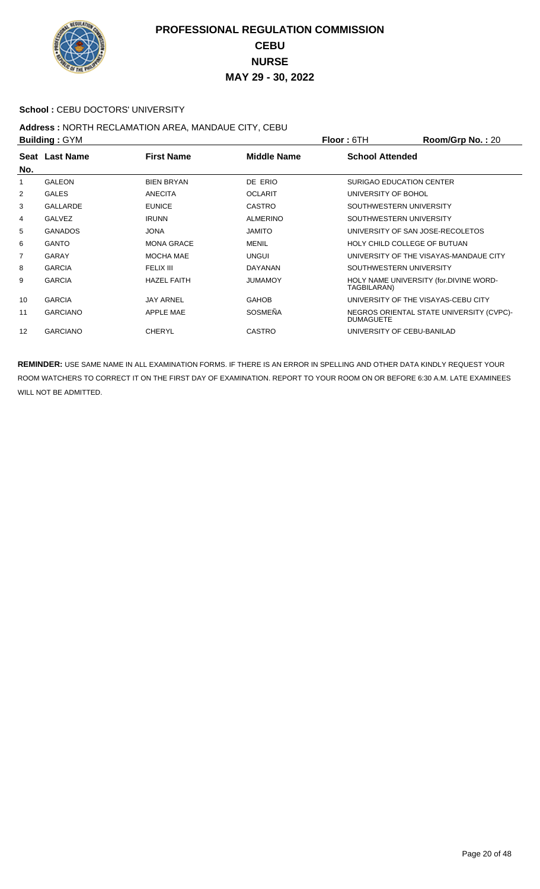

#### School : CEBU DOCTORS' UNIVERSITY

#### **Address :** NORTH RECLAMATION AREA, MANDAUE CITY, CEBU **Building :** GYM **Floor :** 6TH **Room/Grp No. :** 20

| <b>DUILUILLY . OT IVE</b> |                 |                    | FIUUI.UII       | <b>NUUIIIUUI U INU.</b> . ZU |                                          |
|---------------------------|-----------------|--------------------|-----------------|------------------------------|------------------------------------------|
|                           | Seat Last Name  | <b>First Name</b>  | Middle Name     | <b>School Attended</b>       |                                          |
| No.                       |                 |                    |                 |                              |                                          |
| 1                         | <b>GALEON</b>   | <b>BIEN BRYAN</b>  | DE ERIO         |                              | SURIGAO EDUCATION CENTER                 |
| 2                         | <b>GALES</b>    | <b>ANECITA</b>     | <b>OCLARIT</b>  | UNIVERSITY OF BOHOL          |                                          |
| 3                         | GALLARDE        | <b>EUNICE</b>      | <b>CASTRO</b>   |                              | SOUTHWESTERN UNIVERSITY                  |
| 4                         | <b>GALVEZ</b>   | <b>IRUNN</b>       | <b>ALMERINO</b> |                              | SOUTHWESTERN UNIVERSITY                  |
| 5                         | <b>GANADOS</b>  | <b>JONA</b>        | <b>JAMITO</b>   |                              | UNIVERSITY OF SAN JOSE-RECOLETOS         |
| 6                         | <b>GANTO</b>    | <b>MONA GRACE</b>  | <b>MENIL</b>    |                              | HOLY CHILD COLLEGE OF BUTUAN             |
| $\overline{7}$            | GARAY           | MOCHA MAE          | <b>UNGUI</b>    |                              | UNIVERSITY OF THE VISAYAS-MANDAUE CITY   |
| 8                         | <b>GARCIA</b>   | FELIX III          | <b>DAYANAN</b>  |                              | SOUTHWESTERN UNIVERSITY                  |
| 9                         | <b>GARCIA</b>   | <b>HAZEL FAITH</b> | <b>JUMAMOY</b>  | TAGBILARAN)                  | HOLY NAME UNIVERSITY (for.DIVINE WORD-   |
| 10                        | <b>GARCIA</b>   | <b>JAY ARNEL</b>   | <b>GAHOB</b>    |                              | UNIVERSITY OF THE VISAYAS-CEBU CITY      |
| 11                        | <b>GARCIANO</b> | APPLE MAE          | <b>SOSMEÑA</b>  | <b>DUMAGUETE</b>             | NEGROS ORIENTAL STATE UNIVERSITY (CVPC)- |
| 12                        | <b>GARCIANO</b> | <b>CHERYL</b>      | <b>CASTRO</b>   |                              | UNIVERSITY OF CEBU-BANILAD               |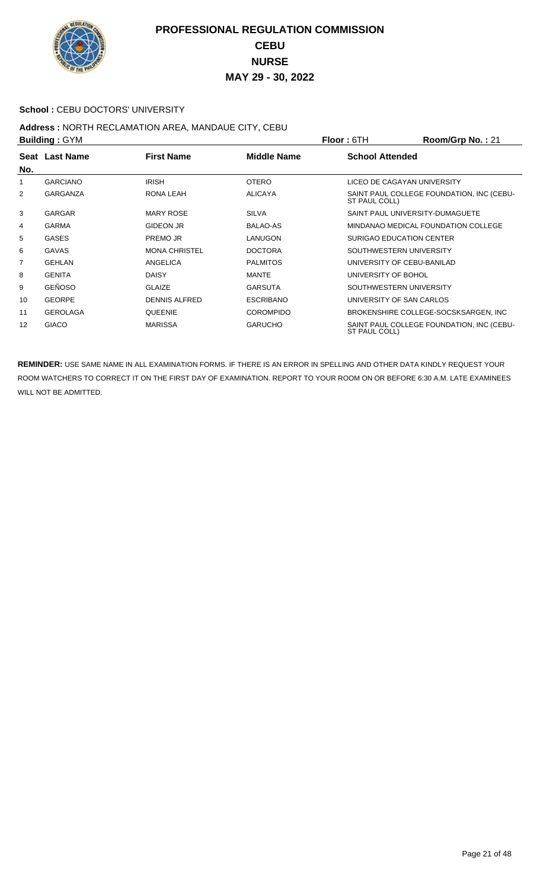

#### School : CEBU DOCTORS' UNIVERSITY

# **Address :** NORTH RECLAMATION AREA, MANDAUE CITY, CEBU

| <b>Building: GYM</b> |                 |                      |                  | <b>Floor:</b> 6TH      | Room/Grp No.: 21                          |
|----------------------|-----------------|----------------------|------------------|------------------------|-------------------------------------------|
| No.                  | Seat Last Name  | <b>First Name</b>    | Middle Name      | <b>School Attended</b> |                                           |
| 1                    | <b>GARCIANO</b> | <b>IRISH</b>         | <b>OTERO</b>     |                        | LICEO DE CAGAYAN UNIVERSITY               |
| 2                    | <b>GARGANZA</b> | RONA LEAH            | <b>ALICAYA</b>   | ST PAUL COLL)          | SAINT PAUL COLLEGE FOUNDATION, INC (CEBU- |
| 3                    | <b>GARGAR</b>   | <b>MARY ROSE</b>     | <b>SILVA</b>     |                        | SAINT PAUL UNIVERSITY-DUMAGUETE           |
| 4                    | <b>GARMA</b>    | <b>GIDEON JR</b>     | <b>BALAO-AS</b>  |                        | MINDANAO MEDICAL FOUNDATION COLLEGE       |
| 5                    | <b>GASES</b>    | PREMO JR             | LANUGON          |                        | <b>SURIGAO EDUCATION CENTER</b>           |
| 6                    | <b>GAVAS</b>    | <b>MONA CHRISTEL</b> | <b>DOCTORA</b>   |                        | SOUTHWESTERN UNIVERSITY                   |
| 7                    | <b>GEHLAN</b>   | ANGELICA             | <b>PALMITOS</b>  |                        | UNIVERSITY OF CEBU-BANILAD                |
| 8                    | <b>GENITA</b>   | <b>DAISY</b>         | <b>MANTE</b>     | UNIVERSITY OF BOHOL    |                                           |
| 9                    | <b>GEÑOSO</b>   | <b>GLAIZE</b>        | <b>GARSUTA</b>   |                        | SOUTHWESTERN UNIVERSITY                   |
| 10                   | <b>GEORPE</b>   | <b>DENNIS ALFRED</b> | <b>ESCRIBANO</b> |                        | UNIVERSITY OF SAN CARLOS                  |
| 11                   | <b>GEROLAGA</b> | <b>QUEENIE</b>       | <b>COROMPIDO</b> |                        | BROKENSHIRE COLLEGE-SOCSKSARGEN, INC      |
| 12                   | <b>GIACO</b>    | <b>MARISSA</b>       | <b>GARUCHO</b>   | ST PAUL COLL)          | SAINT PAUL COLLEGE FOUNDATION, INC (CEBU- |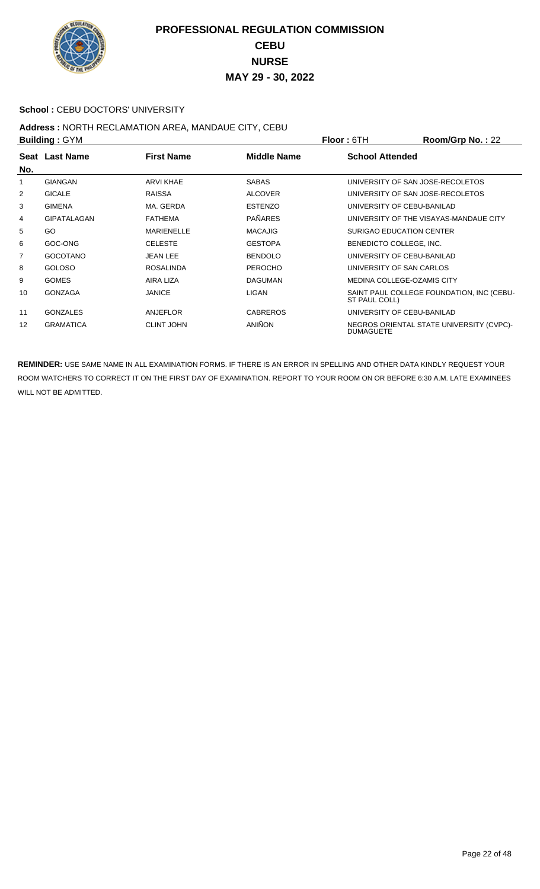

#### School : CEBU DOCTORS' UNIVERSITY

## **Address :** NORTH RECLAMATION AREA, MANDAUE CITY, CEBU

| <b>Building: GYM</b> |                    |                   |                 | <b>Floor: 6TH</b>       | Room/Grp No.: 22                          |
|----------------------|--------------------|-------------------|-----------------|-------------------------|-------------------------------------------|
|                      | Seat Last Name     | <b>First Name</b> | Middle Name     | <b>School Attended</b>  |                                           |
| No.                  |                    |                   |                 |                         |                                           |
| 1                    | <b>GIANGAN</b>     | <b>ARVI KHAE</b>  | <b>SABAS</b>    |                         | UNIVERSITY OF SAN JOSE-RECOLETOS          |
| 2                    | <b>GICALE</b>      | <b>RAISSA</b>     | <b>ALCOVER</b>  |                         | UNIVERSITY OF SAN JOSE-RECOLETOS          |
| 3                    | <b>GIMENA</b>      | MA. GERDA         | <b>ESTENZO</b>  |                         | UNIVERSITY OF CEBU-BANILAD                |
| 4                    | <b>GIPATALAGAN</b> | <b>FATHEMA</b>    | <b>PAÑARES</b>  |                         | UNIVERSITY OF THE VISAYAS-MANDAUE CITY    |
| 5                    | GO                 | <b>MARIENELLE</b> | <b>MACAJIG</b>  |                         | SURIGAO EDUCATION CENTER                  |
| 6                    | GOC-ONG            | <b>CELESTE</b>    | <b>GESTOPA</b>  | BENEDICTO COLLEGE, INC. |                                           |
| 7                    | <b>GOCOTANO</b>    | JEAN LEE          | <b>BENDOLO</b>  |                         | UNIVERSITY OF CEBU-BANILAD                |
| 8                    | <b>GOLOSO</b>      | <b>ROSALINDA</b>  | <b>PEROCHO</b>  |                         | UNIVERSITY OF SAN CARLOS                  |
| 9                    | <b>GOMES</b>       | AIRA LIZA         | <b>DAGUMAN</b>  |                         | MEDINA COLLEGE-OZAMIS CITY                |
| 10                   | <b>GONZAGA</b>     | <b>JANICE</b>     | LIGAN           | ST PAUL COLL)           | SAINT PAUL COLLEGE FOUNDATION, INC (CEBU- |
| 11                   | <b>GONZALES</b>    | ANJEFLOR          | <b>CABREROS</b> |                         | UNIVERSITY OF CEBU-BANILAD                |
| 12                   | <b>GRAMATICA</b>   | <b>CLINT JOHN</b> | <b>ANIÑON</b>   | <b>DUMAGUETE</b>        | NEGROS ORIENTAL STATE UNIVERSITY (CVPC)-  |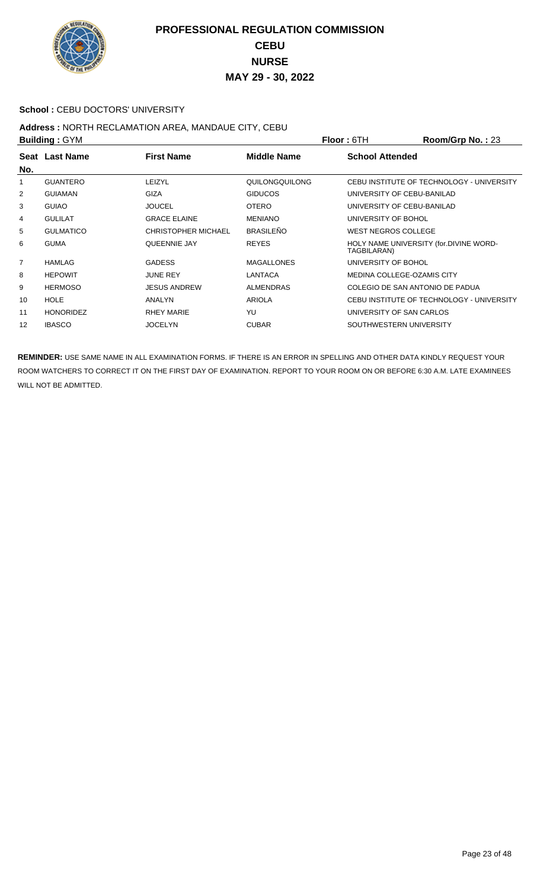

#### School : CEBU DOCTORS' UNIVERSITY

# **Address :** NORTH RECLAMATION AREA, MANDAUE CITY, CEBU

| <b>Building: GYM</b> |                  |                            |                    | <b>Floor: 6TH</b>               | Room/Grp No.: 23                          |
|----------------------|------------------|----------------------------|--------------------|---------------------------------|-------------------------------------------|
| No.                  | Seat Last Name   | <b>First Name</b>          | <b>Middle Name</b> | <b>School Attended</b>          |                                           |
| 1                    | <b>GUANTERO</b>  | LEIZYL                     | QUILONGQUILONG     |                                 | CEBU INSTITUTE OF TECHNOLOGY - UNIVERSITY |
| 2                    | <b>GUIAMAN</b>   | GIZA                       | <b>GIDUCOS</b>     | UNIVERSITY OF CEBU-BANILAD      |                                           |
| 3                    | <b>GUIAO</b>     | <b>JOUCEL</b>              | <b>OTERO</b>       | UNIVERSITY OF CEBU-BANILAD      |                                           |
| 4                    | <b>GULILAT</b>   | <b>GRACE ELAINE</b>        | <b>MENIANO</b>     | UNIVERSITY OF BOHOL             |                                           |
| 5                    | <b>GULMATICO</b> | <b>CHRISTOPHER MICHAEL</b> | <b>BRASILEÑO</b>   | WEST NEGROS COLLEGE             |                                           |
| 6                    | <b>GUMA</b>      | QUEENNIE JAY               | <b>REYES</b>       | TAGBILARAN)                     | HOLY NAME UNIVERSITY (for.DIVINE WORD-    |
| 7                    | <b>HAMLAG</b>    | <b>GADESS</b>              | <b>MAGALLONES</b>  | UNIVERSITY OF BOHOL             |                                           |
| 8                    | <b>HEPOWIT</b>   | <b>JUNE REY</b>            | LANTACA            | MEDINA COLLEGE-OZAMIS CITY      |                                           |
| 9                    | <b>HERMOSO</b>   | <b>JESUS ANDREW</b>        | <b>ALMENDRAS</b>   | COLEGIO DE SAN ANTONIO DE PADUA |                                           |
| 10                   | HOLE             | ANALYN                     | <b>ARIOLA</b>      |                                 | CEBU INSTITUTE OF TECHNOLOGY - UNIVERSITY |
| 11                   | <b>HONORIDEZ</b> | <b>RHEY MARIE</b>          | YU                 | UNIVERSITY OF SAN CARLOS        |                                           |
| 12                   | <b>IBASCO</b>    | <b>JOCELYN</b>             | <b>CUBAR</b>       | SOUTHWESTERN UNIVERSITY         |                                           |
|                      |                  |                            |                    |                                 |                                           |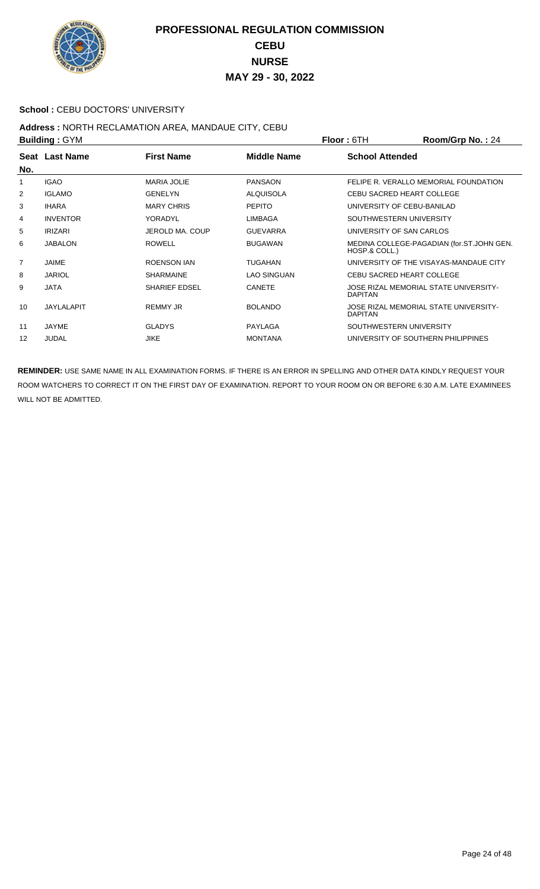

#### School : CEBU DOCTORS' UNIVERSITY

#### **Address :** NORTH RECLAMATION AREA, MANDAUE CITY, CEBU **Building :** GYM **Floor :** 6TH **Room/Grp No. :** 24

| P              |                 |                      |                    | <u>IIUU . UIII</u><br><b>INVUILIULU INV.</b> . $24$        |
|----------------|-----------------|----------------------|--------------------|------------------------------------------------------------|
| No.            | Seat Last Name  | <b>First Name</b>    | <b>Middle Name</b> | <b>School Attended</b>                                     |
| 1              | <b>IGAO</b>     | <b>MARIA JOLIE</b>   | <b>PANSAON</b>     | FELIPE R. VERALLO MEMORIAL FOUNDATION                      |
| 2              | <b>IGLAMO</b>   | <b>GENELYN</b>       | <b>ALQUISOLA</b>   | CEBU SACRED HEART COLLEGE                                  |
| 3              | <b>IHARA</b>    | <b>MARY CHRIS</b>    | <b>PEPITO</b>      | UNIVERSITY OF CEBU-BANILAD                                 |
| 4              | <b>INVENTOR</b> | YORADYL              | <b>LIMBAGA</b>     | SOUTHWESTERN UNIVERSITY                                    |
| 5              | <b>IRIZARI</b>  | JEROLD MA, COUP      | <b>GUEVARRA</b>    | UNIVERSITY OF SAN CARLOS                                   |
| 6              | JABALON         | <b>ROWELL</b>        | <b>BUGAWAN</b>     | MEDINA COLLEGE-PAGADIAN (for.ST.JOHN GEN.<br>HOSP.& COLL.) |
| $\overline{7}$ | <b>JAIME</b>    | <b>ROENSON IAN</b>   | <b>TUGAHAN</b>     | UNIVERSITY OF THE VISAYAS-MANDAUE CITY                     |
| 8              | <b>JARIOL</b>   | <b>SHARMAINE</b>     | <b>LAO SINGUAN</b> | CEBU SACRED HEART COLLEGE                                  |
| 9              | <b>JATA</b>     | <b>SHARIEF EDSEL</b> | <b>CANETE</b>      | JOSE RIZAL MEMORIAL STATE UNIVERSITY-<br><b>DAPITAN</b>    |
| 10             | JAYLALAPIT      | <b>REMMY JR</b>      | <b>BOLANDO</b>     | JOSE RIZAL MEMORIAL STATE UNIVERSITY-<br><b>DAPITAN</b>    |
| 11             | JAYME           | <b>GLADYS</b>        | PAYLAGA            | SOUTHWESTERN UNIVERSITY                                    |
| 12             | <b>JUDAL</b>    | <b>JIKE</b>          | <b>MONTANA</b>     | UNIVERSITY OF SOUTHERN PHILIPPINES                         |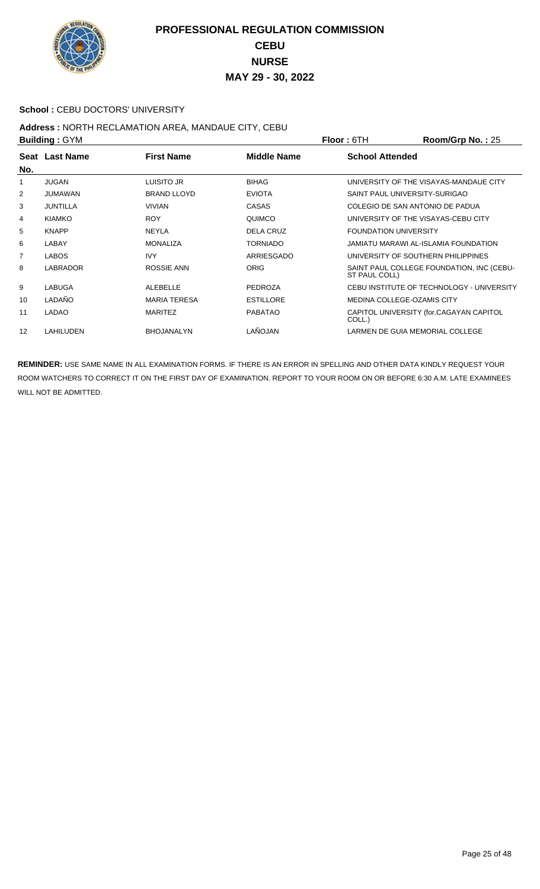

#### **School : CEBU DOCTORS' UNIVERSITY**

#### **Address :** NORTH RECLAMATION AREA, MANDAUE CITY, CEBU **Building :** GYM **Floor :** 6TH **Room/Grp No. :** 25

| <b>DUILUILLY . OT IVE</b><br>FIUUL.UIT |                 |                     | <b>NUUIII/UI DI NU.</b> . ZU |                              |                                           |
|----------------------------------------|-----------------|---------------------|------------------------------|------------------------------|-------------------------------------------|
|                                        | Seat Last Name  | <b>First Name</b>   | Middle Name                  | <b>School Attended</b>       |                                           |
| No.                                    |                 |                     |                              |                              |                                           |
| 1                                      | <b>JUGAN</b>    | LUISITO JR          | <b>BIHAG</b>                 |                              | UNIVERSITY OF THE VISAYAS-MANDAUE CITY    |
| 2                                      | <b>JUMAWAN</b>  | <b>BRAND LLOYD</b>  | <b>EVIOTA</b>                |                              | SAINT PAUL UNIVERSITY-SURIGAO             |
| 3                                      | <b>JUNTILLA</b> | <b>VIVIAN</b>       | <b>CASAS</b>                 |                              | COLEGIO DE SAN ANTONIO DE PADUA           |
| 4                                      | <b>KIAMKO</b>   | <b>ROY</b>          | QUIMCO                       |                              | UNIVERSITY OF THE VISAYAS-CEBU CITY       |
| 5                                      | <b>KNAPP</b>    | <b>NEYLA</b>        | <b>DELA CRUZ</b>             | <b>FOUNDATION UNIVERSITY</b> |                                           |
| 6                                      | LABAY           | <b>MONALIZA</b>     | <b>TORNIADO</b>              |                              | JAMIATU MARAWI AL-ISLAMIA FOUNDATION      |
| $\overline{7}$                         | <b>LABOS</b>    | <b>IVY</b>          | <b>ARRIESGADO</b>            |                              | UNIVERSITY OF SOUTHERN PHILIPPINES        |
| 8                                      | <b>LABRADOR</b> | ROSSIE ANN          | <b>ORIG</b>                  | ST PAUL COLL)                | SAINT PAUL COLLEGE FOUNDATION, INC (CEBU- |
| 9                                      | <b>LABUGA</b>   | ALEBELLE            | <b>PEDROZA</b>               |                              | CEBU INSTITUTE OF TECHNOLOGY - UNIVERSITY |
| 10                                     | LADAÑO          | <b>MARIA TERESA</b> | <b>ESTILLORE</b>             |                              | MEDINA COLLEGE-OZAMIS CITY                |
| 11                                     | LADAO           | <b>MARITEZ</b>      | <b>PABATAO</b>               | COLL.)                       | CAPITOL UNIVERSITY (for.CAGAYAN CAPITOL   |
| 12                                     | LAHILUDEN       | <b>BHOJANALYN</b>   | LAÑOJAN                      |                              | LARMEN DE GUIA MEMORIAL COLLEGE           |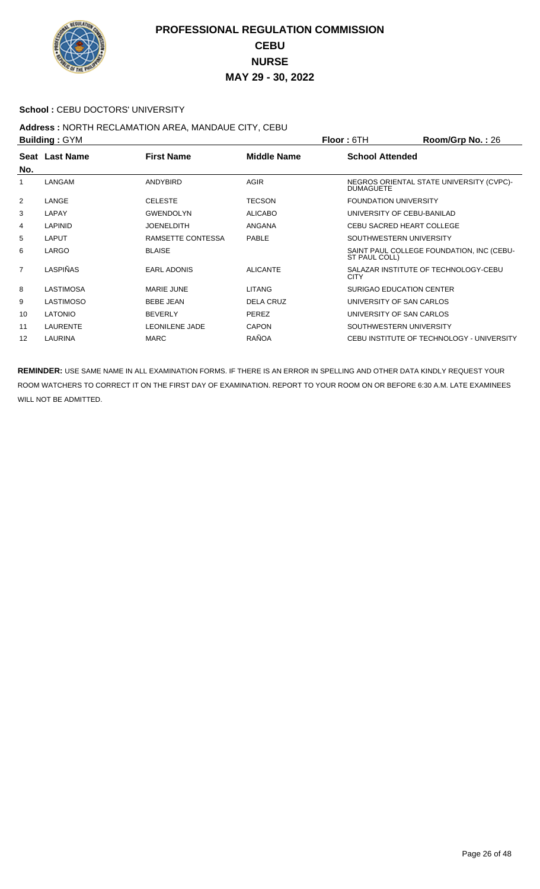

#### School : CEBU DOCTORS' UNIVERSITY

## **Address :** NORTH RECLAMATION AREA, MANDAUE CITY, CEBU

| <b>Building: GYM</b> |                 |                       |                    | <b>Floor: 6TH</b>            | Room/Grp No.: 26                          |
|----------------------|-----------------|-----------------------|--------------------|------------------------------|-------------------------------------------|
| No.                  | Seat Last Name  | <b>First Name</b>     | <b>Middle Name</b> | <b>School Attended</b>       |                                           |
| 1                    | LANGAM          | <b>ANDYBIRD</b>       | <b>AGIR</b>        | <b>DUMAGUETE</b>             | NEGROS ORIENTAL STATE UNIVERSITY (CVPC)-  |
| 2                    | LANGE           | <b>CELESTE</b>        | <b>TECSON</b>      | <b>FOUNDATION UNIVERSITY</b> |                                           |
| 3                    | LAPAY           | <b>GWENDOLYN</b>      | <b>ALICABO</b>     | UNIVERSITY OF CEBU-BANILAD   |                                           |
| 4                    | <b>LAPINID</b>  | <b>JOENELDITH</b>     | <b>ANGANA</b>      | CEBU SACRED HEART COLLEGE    |                                           |
| 5                    | LAPUT           | RAMSETTE CONTESSA     | <b>PABLE</b>       | SOUTHWESTERN UNIVERSITY      |                                           |
| 6                    | LARGO           | <b>BLAISE</b>         |                    | ST PAUL COLL)                | SAINT PAUL COLLEGE FOUNDATION, INC (CEBU- |
| $\overline{7}$       | LASPIÑAS        | <b>EARL ADONIS</b>    | <b>ALICANTE</b>    | <b>CITY</b>                  | SALAZAR INSTITUTE OF TECHNOLOGY-CEBU      |
| 8                    | LASTIMOSA       | MARIE JUNE            | <b>LITANG</b>      | SURIGAO EDUCATION CENTER     |                                           |
| 9                    | LASTIMOSO       | <b>BEBE JEAN</b>      | <b>DELA CRUZ</b>   | UNIVERSITY OF SAN CARLOS     |                                           |
| 10                   | <b>LATONIO</b>  | <b>BEVERLY</b>        | <b>PEREZ</b>       | UNIVERSITY OF SAN CARLOS     |                                           |
| 11                   | <b>LAURENTE</b> | <b>LEONILENE JADE</b> | <b>CAPON</b>       | SOUTHWESTERN UNIVERSITY      |                                           |
| 12                   | LAURINA         | <b>MARC</b>           | <b>RAÑOA</b>       |                              | CEBU INSTITUTE OF TECHNOLOGY - UNIVERSITY |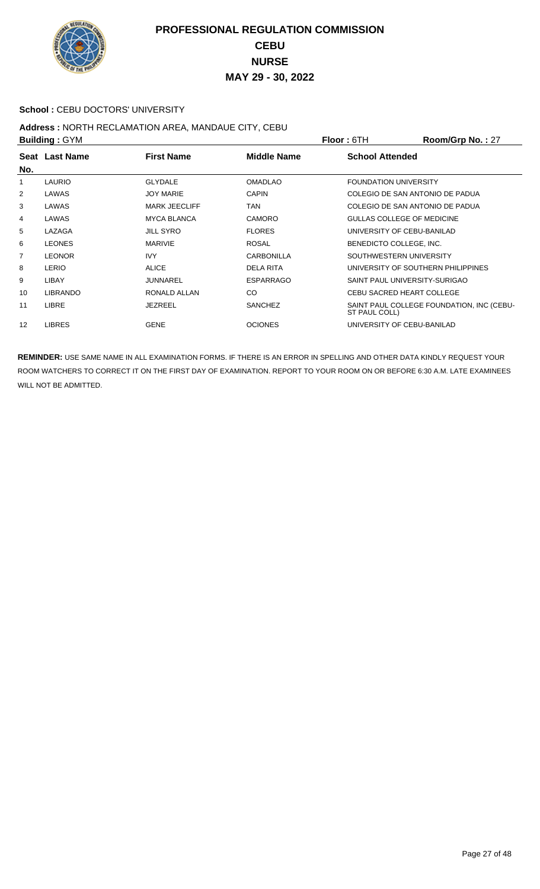

#### School : CEBU DOCTORS' UNIVERSITY

## **Address :** NORTH RECLAMATION AREA, MANDAUE CITY, CEBU

| <b>Building: GYM</b> |                 |                      |                    | <b>Floor: 6TH</b>                  | Room/Grp No.: 27                          |
|----------------------|-----------------|----------------------|--------------------|------------------------------------|-------------------------------------------|
|                      | Seat Last Name  | <b>First Name</b>    | <b>Middle Name</b> | <b>School Attended</b>             |                                           |
| No.                  |                 |                      |                    |                                    |                                           |
| 1                    | <b>LAURIO</b>   | <b>GLYDALE</b>       | <b>OMADLAO</b>     | <b>FOUNDATION UNIVERSITY</b>       |                                           |
| 2                    | LAWAS           | <b>JOY MARIE</b>     | <b>CAPIN</b>       | COLEGIO DE SAN ANTONIO DE PADUA    |                                           |
| 3                    | LAWAS           | <b>MARK JEECLIFF</b> | TAN                | COLEGIO DE SAN ANTONIO DE PADUA    |                                           |
| 4                    | LAWAS           | <b>MYCA BLANCA</b>   | <b>CAMORO</b>      | GULLAS COLLEGE OF MEDICINE         |                                           |
| 5                    | LAZAGA          | <b>JILL SYRO</b>     | <b>FLORES</b>      | UNIVERSITY OF CEBU-BANILAD         |                                           |
| 6                    | <b>LEONES</b>   | <b>MARIVIE</b>       | <b>ROSAL</b>       | BENEDICTO COLLEGE, INC.            |                                           |
| 7                    | <b>LEONOR</b>   | <b>IVY</b>           | <b>CARBONILLA</b>  | SOUTHWESTERN UNIVERSITY            |                                           |
| 8                    | <b>LERIO</b>    | <b>ALICE</b>         | <b>DELA RITA</b>   | UNIVERSITY OF SOUTHERN PHILIPPINES |                                           |
| 9                    | LIBAY           | <b>JUNNAREL</b>      | <b>ESPARRAGO</b>   | SAINT PAUL UNIVERSITY-SURIGAO      |                                           |
| 10                   | <b>LIBRANDO</b> | RONALD ALLAN         | CO                 | CEBU SACRED HEART COLLEGE          |                                           |
| 11                   | <b>LIBRE</b>    | <b>JEZREEL</b>       | <b>SANCHEZ</b>     | ST PAUL COLL)                      | SAINT PAUL COLLEGE FOUNDATION, INC (CEBU- |
| 12                   | <b>LIBRES</b>   | <b>GENE</b>          | <b>OCIONES</b>     | UNIVERSITY OF CEBU-BANILAD         |                                           |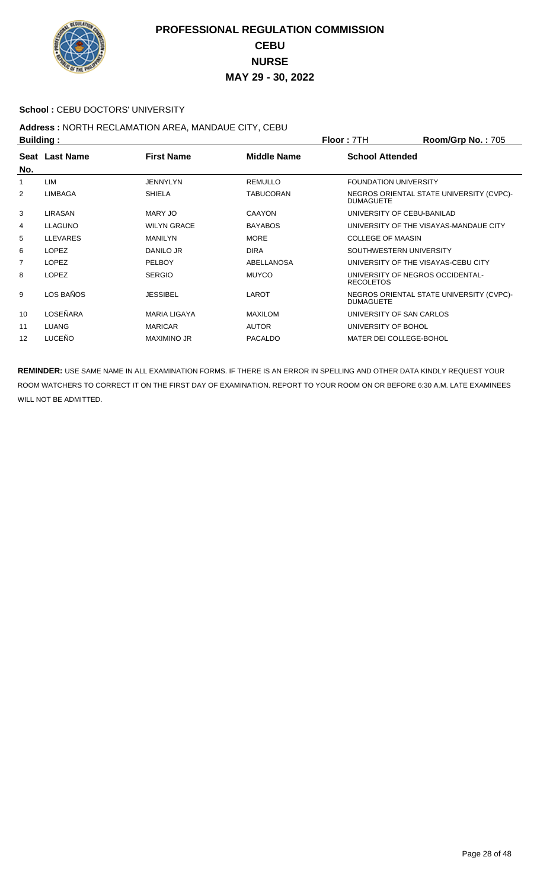

#### School : CEBU DOCTORS' UNIVERSITY

# Address : NORTH RECLAMATION AREA, MANDAUE CITY, CEBU<br>Building :

| <b>Building:</b> |                 |                     |                  | Floor: 7TH                                           | <b>Room/Grp No.: 705</b>                 |
|------------------|-----------------|---------------------|------------------|------------------------------------------------------|------------------------------------------|
| No.              | Seat Last Name  | <b>First Name</b>   | Middle Name      | <b>School Attended</b>                               |                                          |
| 1                | LIM             | JENNYLYN            | <b>REMULLO</b>   | <b>FOUNDATION UNIVERSITY</b>                         |                                          |
| 2                | LIMBAGA         | <b>SHIELA</b>       | <b>TABUCORAN</b> | <b>DUMAGUETE</b>                                     | NEGROS ORIENTAL STATE UNIVERSITY (CVPC)- |
| 3                | LIRASAN         | MARY JO             | <b>CAAYON</b>    | UNIVERSITY OF CEBU-BANILAD                           |                                          |
| 4                | <b>LLAGUNO</b>  | <b>WILYN GRACE</b>  | <b>BAYABOS</b>   |                                                      | UNIVERSITY OF THE VISAYAS-MANDAUE CITY   |
| 5                | <b>LLEVARES</b> | <b>MANILYN</b>      | <b>MORE</b>      | <b>COLLEGE OF MAASIN</b>                             |                                          |
| 6                | <b>LOPEZ</b>    | DANILO JR           | <b>DIRA</b>      | SOUTHWESTERN UNIVERSITY                              |                                          |
| $\overline{7}$   | <b>LOPEZ</b>    | <b>PELBOY</b>       | ABELLANOSA       |                                                      | UNIVERSITY OF THE VISAYAS-CEBU CITY      |
| 8                | <b>LOPEZ</b>    | <b>SERGIO</b>       | <b>MUYCO</b>     | UNIVERSITY OF NEGROS OCCIDENTAL-<br><b>RECOLETOS</b> |                                          |
| 9                | LOS BAÑOS       | <b>JESSIBEL</b>     | LAROT            | <b>DUMAGUETE</b>                                     | NEGROS ORIENTAL STATE UNIVERSITY (CVPC)- |
| 10               | LOSEÑARA        | <b>MARIA LIGAYA</b> | <b>MAXILOM</b>   | UNIVERSITY OF SAN CARLOS                             |                                          |
| 11               | <b>LUANG</b>    | <b>MARICAR</b>      | <b>AUTOR</b>     | UNIVERSITY OF BOHOL                                  |                                          |
| 12               | <b>LUCEÑO</b>   | <b>MAXIMINO JR</b>  | <b>PACALDO</b>   | MATER DEI COLLEGE-BOHOL                              |                                          |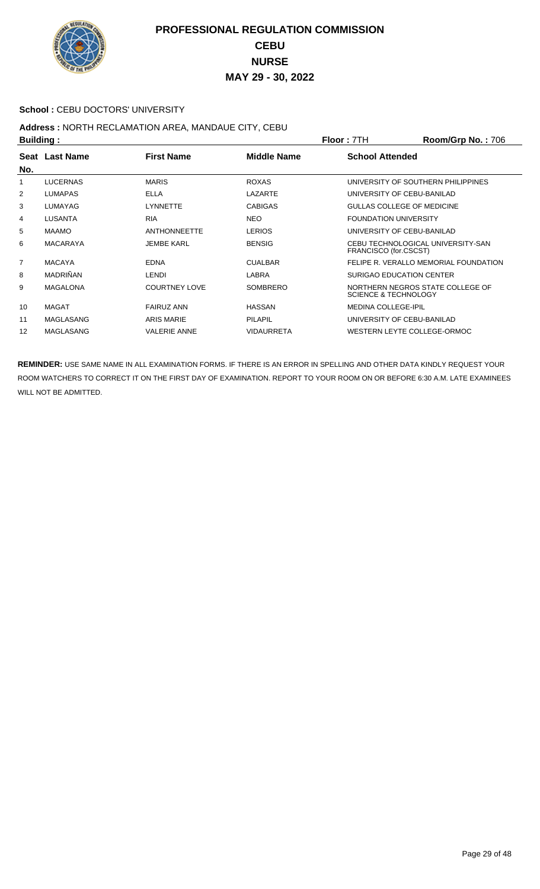

#### **School : CEBU DOCTORS' UNIVERSITY**

## **Address :** NORTH RECLAMATION AREA, MANDAUE CITY, CEBU

| <b>Building:</b> |                  | Floor: 7TH           | <b>Room/Grp No.: 706</b> |                                 |                                       |
|------------------|------------------|----------------------|--------------------------|---------------------------------|---------------------------------------|
|                  | Seat Last Name   | <b>First Name</b>    | Middle Name              | <b>School Attended</b>          |                                       |
| No.              |                  |                      |                          |                                 |                                       |
| 1                | <b>LUCERNAS</b>  | <b>MARIS</b>         | <b>ROXAS</b>             |                                 | UNIVERSITY OF SOUTHERN PHILIPPINES    |
| 2                | <b>LUMAPAS</b>   | <b>ELLA</b>          | LAZARTE                  |                                 | UNIVERSITY OF CEBU-BANILAD            |
| 3                | LUMAYAG          | <b>LYNNETTE</b>      | <b>CABIGAS</b>           |                                 | GULLAS COLLEGE OF MEDICINE            |
| 4                | <b>LUSANTA</b>   | <b>RIA</b>           | <b>NEO</b>               | <b>FOUNDATION UNIVERSITY</b>    |                                       |
| 5                | <b>MAAMO</b>     | <b>ANTHONNEETTE</b>  | <b>LERIOS</b>            |                                 | UNIVERSITY OF CEBU-BANILAD            |
| 6                | <b>MACARAYA</b>  | <b>JEMBE KARL</b>    | <b>BENSIG</b>            | FRANCISCO (for.CSCST)           | CEBU TECHNOLOGICAL UNIVERSITY-SAN     |
| $\overline{7}$   | <b>MACAYA</b>    | <b>EDNA</b>          | <b>CUALBAR</b>           |                                 | FELIPE R. VERALLO MEMORIAL FOUNDATION |
| 8                | <b>MADRIÑAN</b>  | <b>LENDI</b>         | LABRA                    |                                 | SURIGAO EDUCATION CENTER              |
| 9                | <b>MAGALONA</b>  | <b>COURTNEY LOVE</b> | <b>SOMBRERO</b>          | <b>SCIENCE &amp; TECHNOLOGY</b> | NORTHERN NEGROS STATE COLLEGE OF      |
| 10               | <b>MAGAT</b>     | <b>FAIRUZ ANN</b>    | <b>HASSAN</b>            | <b>MEDINA COLLEGE-IPIL</b>      |                                       |
| 11               | <b>MAGLASANG</b> | <b>ARIS MARIE</b>    | <b>PILAPIL</b>           |                                 | UNIVERSITY OF CEBU-BANILAD            |
| 12               | <b>MAGLASANG</b> | <b>VALERIE ANNE</b>  | <b>VIDAURRETA</b>        |                                 | WESTERN LEYTE COLLEGE-ORMOC           |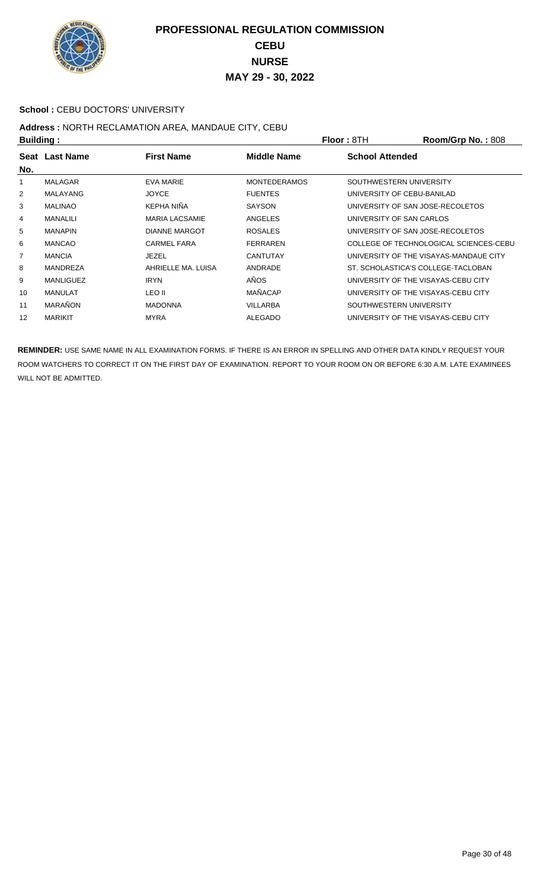

#### School : CEBU DOCTORS' UNIVERSITY

# Address : NORTH RECLAMATION AREA, MANDAUE CITY, CEBU<br>Building :

|                | <b>Building:</b> |                       |                     | <b>Floor: 8TH</b>      | Room/Grp No.: 808                      |
|----------------|------------------|-----------------------|---------------------|------------------------|----------------------------------------|
| No.            | Seat Last Name   | <b>First Name</b>     | Middle Name         | <b>School Attended</b> |                                        |
|                | <b>MALAGAR</b>   | EVA MARIE             | <b>MONTEDERAMOS</b> |                        | SOUTHWESTERN UNIVERSITY                |
| 2              | MALAYANG         | <b>JOYCE</b>          | <b>FUENTES</b>      |                        | UNIVERSITY OF CEBU-BANILAD             |
| 3              | <b>MALINAO</b>   | KEPHA NIÑA            | <b>SAYSON</b>       |                        | UNIVERSITY OF SAN JOSE-RECOLETOS       |
| 4              | <b>MANALILI</b>  | <b>MARIA LACSAMIE</b> | <b>ANGELES</b>      |                        | UNIVERSITY OF SAN CARLOS               |
| 5              | <b>MANAPIN</b>   | <b>DIANNE MARGOT</b>  | <b>ROSALES</b>      |                        | UNIVERSITY OF SAN JOSE-RECOLETOS       |
| 6              | <b>MANCAO</b>    | <b>CARMEL FARA</b>    | <b>FERRAREN</b>     |                        | COLLEGE OF TECHNOLOGICAL SCIENCES-CEBU |
| $\overline{7}$ | <b>MANCIA</b>    | <b>JEZEL</b>          | <b>CANTUTAY</b>     |                        | UNIVERSITY OF THE VISAYAS-MANDAUE CITY |
| 8              | <b>MANDREZA</b>  | AHRIELLE MA, LUISA    | ANDRADE             |                        | ST. SCHOLASTICA'S COLLEGE-TACLOBAN     |
| 9              | <b>MANLIGUEZ</b> | <b>IRYN</b>           | AÑOS                |                        | UNIVERSITY OF THE VISAYAS-CEBU CITY    |
| 10             | MANULAT          | LEO II                | MAÑACAP             |                        | UNIVERSITY OF THE VISAYAS-CEBU CITY    |
| 11             | <b>MARAÑON</b>   | <b>MADONNA</b>        | <b>VILLARBA</b>     |                        | SOUTHWESTERN UNIVERSITY                |
| 12             | MARIKIT          | <b>MYRA</b>           | <b>ALEGADO</b>      |                        | UNIVERSITY OF THE VISAYAS-CEBU CITY    |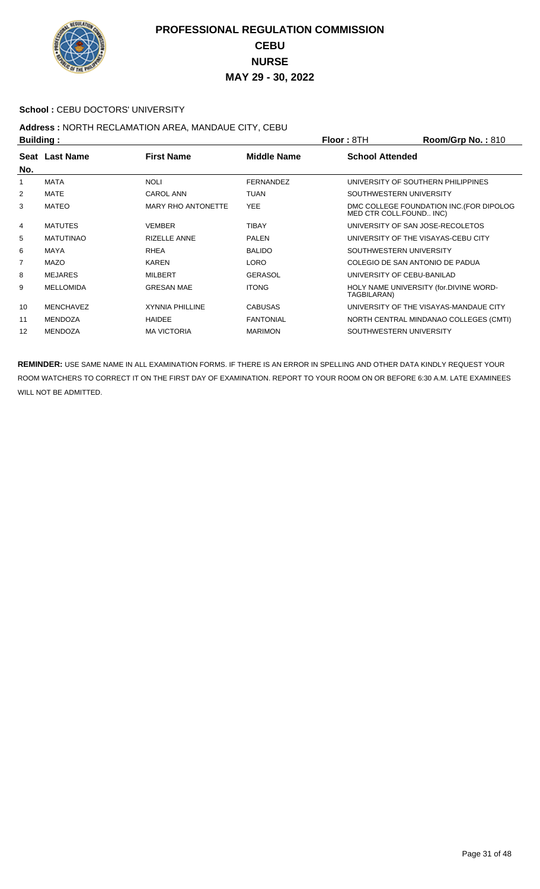

#### **School : CEBU DOCTORS' UNIVERSITY**

# Address : NORTH RECLAMATION AREA, MANDAUE CITY, CEBU<br>Building :

|     | <b>Building:</b> |                           |                  | <b>Floor: 8TH</b>                  | Room/Grp No.: 810                        |
|-----|------------------|---------------------------|------------------|------------------------------------|------------------------------------------|
| No. | Seat Last Name   | <b>First Name</b>         | Middle Name      | <b>School Attended</b>             |                                          |
| 1   | <b>MATA</b>      | <b>NOLI</b>               | <b>FERNANDEZ</b> | UNIVERSITY OF SOUTHERN PHILIPPINES |                                          |
| 2   | <b>MATE</b>      | <b>CAROL ANN</b>          | <b>TUAN</b>      | SOUTHWESTERN UNIVERSITY            |                                          |
| 3   | MATEO            | <b>MARY RHO ANTONETTE</b> | <b>YEE</b>       | MED CTR COLL.FOUND INC)            | DMC COLLEGE FOUNDATION INC. (FOR DIPOLOG |
| 4   | <b>MATUTES</b>   | <b>VEMBER</b>             | <b>TIBAY</b>     | UNIVERSITY OF SAN JOSE-RECOLETOS   |                                          |
| 5   | <b>MATUTINAO</b> | <b>RIZELLE ANNE</b>       | <b>PALEN</b>     |                                    | UNIVERSITY OF THE VISAYAS-CEBU CITY      |
| 6   | MAYA             | <b>RHEA</b>               | <b>BALIDO</b>    | SOUTHWESTERN UNIVERSITY            |                                          |
| 7   | <b>MAZO</b>      | <b>KAREN</b>              | <b>LORO</b>      | COLEGIO DE SAN ANTONIO DE PADUA    |                                          |
| 8   | <b>MEJARES</b>   | <b>MILBERT</b>            | <b>GERASOL</b>   | UNIVERSITY OF CEBU-BANILAD         |                                          |
| 9   | <b>MELLOMIDA</b> | <b>GRESAN MAE</b>         | <b>ITONG</b>     | TAGBILARAN)                        | HOLY NAME UNIVERSITY (for.DIVINE WORD-   |
| 10  | <b>MENCHAVEZ</b> | <b>XYNNIA PHILLINE</b>    | <b>CABUSAS</b>   |                                    | UNIVERSITY OF THE VISAYAS-MANDAUE CITY   |
| 11  | <b>MENDOZA</b>   | <b>HAIDEE</b>             | <b>FANTONIAL</b> |                                    | NORTH CENTRAL MINDANAO COLLEGES (CMTI)   |
| 12  | <b>MENDOZA</b>   | <b>MA VICTORIA</b>        | <b>MARIMON</b>   | SOUTHWESTERN UNIVERSITY            |                                          |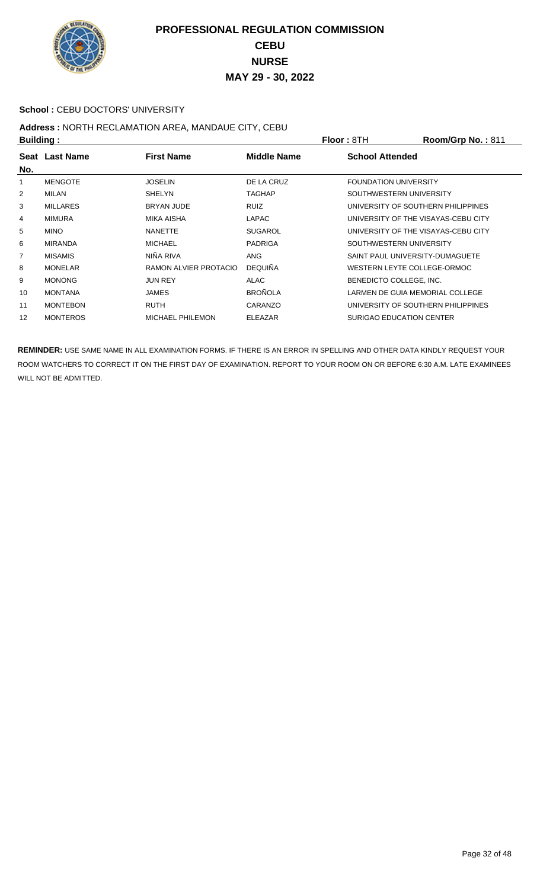

#### School : CEBU DOCTORS' UNIVERSITY

# Address : NORTH RECLAMATION AREA, MANDAUE CITY, CEBU<br>Building :

| <b>Building:</b> |                 |                         | <b>Floor: 8TH</b>  | Room/Grp No.: 811            |                                     |
|------------------|-----------------|-------------------------|--------------------|------------------------------|-------------------------------------|
| No.              | Seat Last Name  | <b>First Name</b>       | <b>Middle Name</b> | <b>School Attended</b>       |                                     |
|                  | <b>MENGOTE</b>  | <b>JOSELIN</b>          | DE LA CRUZ         | <b>FOUNDATION UNIVERSITY</b> |                                     |
| 2                | MILAN           | <b>SHELYN</b>           | <b>TAGHAP</b>      |                              | SOUTHWESTERN UNIVERSITY             |
| 3                | <b>MILLARES</b> | <b>BRYAN JUDE</b>       | <b>RUIZ</b>        |                              | UNIVERSITY OF SOUTHERN PHILIPPINES  |
| 4                | <b>MIMURA</b>   | MIKA AISHA              | <b>LAPAC</b>       |                              | UNIVERSITY OF THE VISAYAS-CEBU CITY |
| 5                | <b>MINO</b>     | <b>NANETTE</b>          | <b>SUGAROL</b>     |                              | UNIVERSITY OF THE VISAYAS-CEBU CITY |
| 6                | <b>MIRANDA</b>  | <b>MICHAEL</b>          | <b>PADRIGA</b>     |                              | SOUTHWESTERN UNIVERSITY             |
| $\overline{7}$   | <b>MISAMIS</b>  | NIÑA RIVA               | <b>ANG</b>         |                              | SAINT PAUL UNIVERSITY-DUMAGUETE     |
| 8                | <b>MONELAR</b>  | RAMON ALVIER PROTACIO   | <b>DEQUIÑA</b>     |                              | WESTERN LEYTE COLLEGE-ORMOC         |
| 9                | <b>MONONG</b>   | <b>JUN REY</b>          | <b>ALAC</b>        | BENEDICTO COLLEGE, INC.      |                                     |
| 10               | <b>MONTANA</b>  | <b>JAMES</b>            | <b>BROÑOLA</b>     |                              | LARMEN DE GUIA MEMORIAL COLLEGE     |
| 11               | <b>MONTEBON</b> | <b>RUTH</b>             | CARANZO            |                              | UNIVERSITY OF SOUTHERN PHILIPPINES  |
| 12               | <b>MONTEROS</b> | <b>MICHAEL PHILEMON</b> | <b>ELEAZAR</b>     |                              | SURIGAO EDUCATION CENTER            |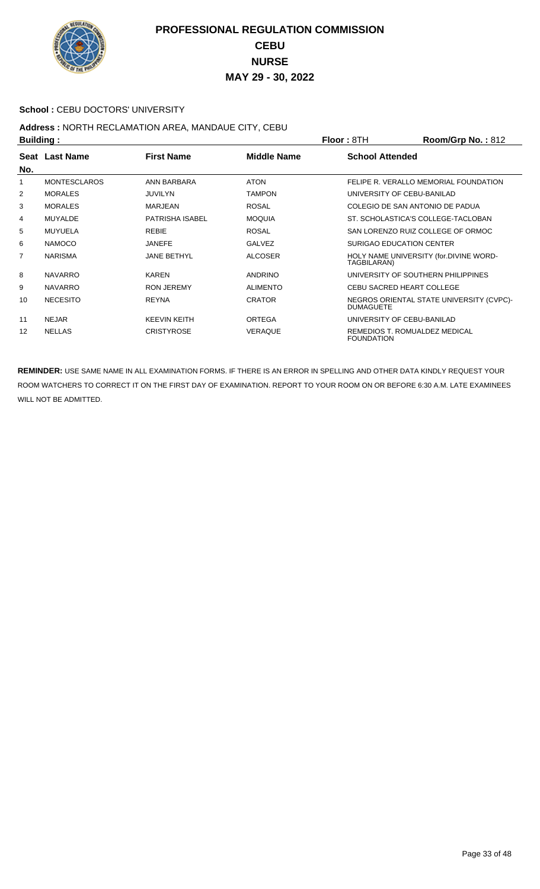

#### School : CEBU DOCTORS' UNIVERSITY

## **Address :** NORTH RECLAMATION AREA, MANDAUE CITY, CEBU

| <b>Building:</b> |                     | <b>Floor: 8TH</b>      | Room/Grp No.: 812 |                        |                                          |
|------------------|---------------------|------------------------|-------------------|------------------------|------------------------------------------|
|                  | Seat Last Name      | <b>First Name</b>      | Middle Name       | <b>School Attended</b> |                                          |
| No.              |                     |                        |                   |                        |                                          |
| 1                | <b>MONTESCLAROS</b> | ANN BARBARA            | <b>ATON</b>       |                        | FELIPE R. VERALLO MEMORIAL FOUNDATION    |
| 2                | <b>MORALES</b>      | <b>JUVILYN</b>         | <b>TAMPON</b>     |                        | UNIVERSITY OF CEBU-BANILAD               |
| 3                | <b>MORALES</b>      | <b>MARJEAN</b>         | <b>ROSAL</b>      |                        | COLEGIO DE SAN ANTONIO DE PADUA          |
| 4                | <b>MUYALDE</b>      | <b>PATRISHA ISABEL</b> | <b>MOQUIA</b>     |                        | ST. SCHOLASTICA'S COLLEGE-TACLOBAN       |
| 5                | <b>MUYUELA</b>      | <b>REBIE</b>           | <b>ROSAL</b>      |                        | SAN LORENZO RUIZ COLLEGE OF ORMOC        |
| 6                | <b>NAMOCO</b>       | <b>JANEFE</b>          | <b>GALVEZ</b>     |                        | SURIGAO EDUCATION CENTER                 |
| 7                | <b>NARISMA</b>      | <b>JANE BETHYL</b>     | <b>ALCOSER</b>    | TAGBILARAN)            | HOLY NAME UNIVERSITY (for.DIVINE WORD-   |
| 8                | <b>NAVARRO</b>      | <b>KAREN</b>           | <b>ANDRINO</b>    |                        | UNIVERSITY OF SOUTHERN PHILIPPINES       |
| 9                | <b>NAVARRO</b>      | <b>RON JEREMY</b>      | <b>ALIMENTO</b>   |                        | <b>CEBU SACRED HEART COLLEGE</b>         |
| 10               | <b>NECESITO</b>     | <b>REYNA</b>           | <b>CRATOR</b>     | <b>DUMAGUETE</b>       | NEGROS ORIENTAL STATE UNIVERSITY (CVPC)- |
| 11               | <b>NEJAR</b>        | <b>KEEVIN KEITH</b>    | <b>ORTEGA</b>     |                        | UNIVERSITY OF CEBU-BANILAD               |
| 12               | <b>NELLAS</b>       | <b>CRISTYROSE</b>      | <b>VERAQUE</b>    | <b>FOUNDATION</b>      | REMEDIOS T. ROMUALDEZ MEDICAL            |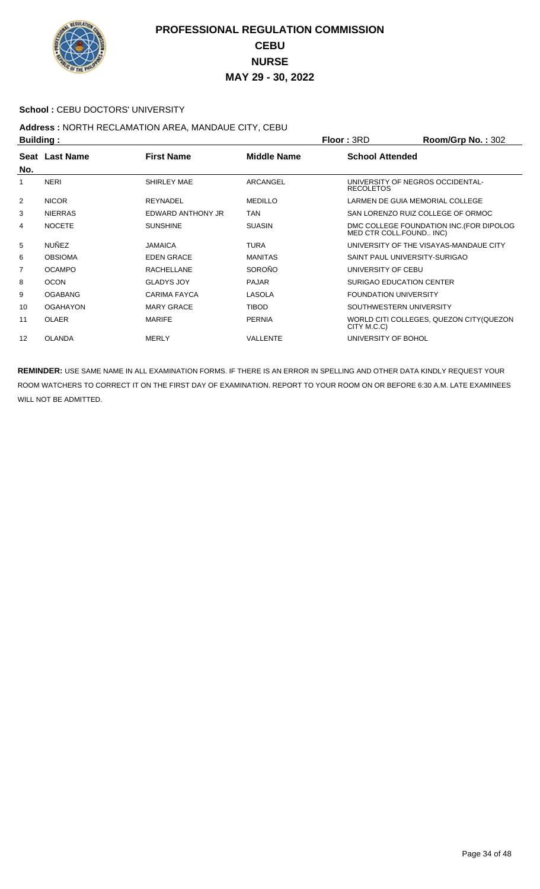

#### School : CEBU DOCTORS' UNIVERSITY

# Address : NORTH RECLAMATION AREA, MANDAUE CITY, CEBU<br>Building :

|     | <b>Building:</b> |                     | Floor: 3RD     | Room/Grp No.: 302            |                                          |
|-----|------------------|---------------------|----------------|------------------------------|------------------------------------------|
| No. | Seat Last Name   | <b>First Name</b>   | Middle Name    | <b>School Attended</b>       |                                          |
|     | <b>NERI</b>      | <b>SHIRLEY MAE</b>  | ARCANGEL       | <b>RECOLETOS</b>             | UNIVERSITY OF NEGROS OCCIDENTAL-         |
| 2   | <b>NICOR</b>     | <b>REYNADEL</b>     | <b>MEDILLO</b> |                              | LARMEN DE GUIA MEMORIAL COLLEGE          |
| 3   | <b>NIERRAS</b>   | EDWARD ANTHONY JR   | <b>TAN</b>     |                              | SAN LORENZO RUIZ COLLEGE OF ORMOC        |
| 4   | <b>NOCETE</b>    | <b>SUNSHINE</b>     | <b>SUASIN</b>  | MED CTR COLL.FOUND INC)      | DMC COLLEGE FOUNDATION INC. (FOR DIPOLOG |
| 5   | <b>NUÑEZ</b>     | <b>JAMAICA</b>      | <b>TURA</b>    |                              | UNIVERSITY OF THE VISAYAS-MANDAUE CITY   |
| 6   | <b>OBSIOMA</b>   | <b>EDEN GRACE</b>   | <b>MANITAS</b> |                              | SAINT PAUL UNIVERSITY-SURIGAO            |
| 7   | <b>OCAMPO</b>    | <b>RACHELLANE</b>   | <b>SOROÑO</b>  | UNIVERSITY OF CEBU           |                                          |
| 8   | <b>OCON</b>      | <b>GLADYS JOY</b>   | <b>PAJAR</b>   | SURIGAO EDUCATION CENTER     |                                          |
| 9   | <b>OGABANG</b>   | <b>CARIMA FAYCA</b> | LASOLA         | <b>FOUNDATION UNIVERSITY</b> |                                          |
| 10  | <b>OGAHAYON</b>  | <b>MARY GRACE</b>   | <b>TIBOD</b>   | SOUTHWESTERN UNIVERSITY      |                                          |
| 11  | <b>OLAER</b>     | <b>MARIFE</b>       | <b>PERNIA</b>  | CITY M.C.C)                  | WORLD CITI COLLEGES, QUEZON CITY (QUEZON |
| 12  | <b>OLANDA</b>    | <b>MERLY</b>        | VALLENTE       | UNIVERSITY OF BOHOL          |                                          |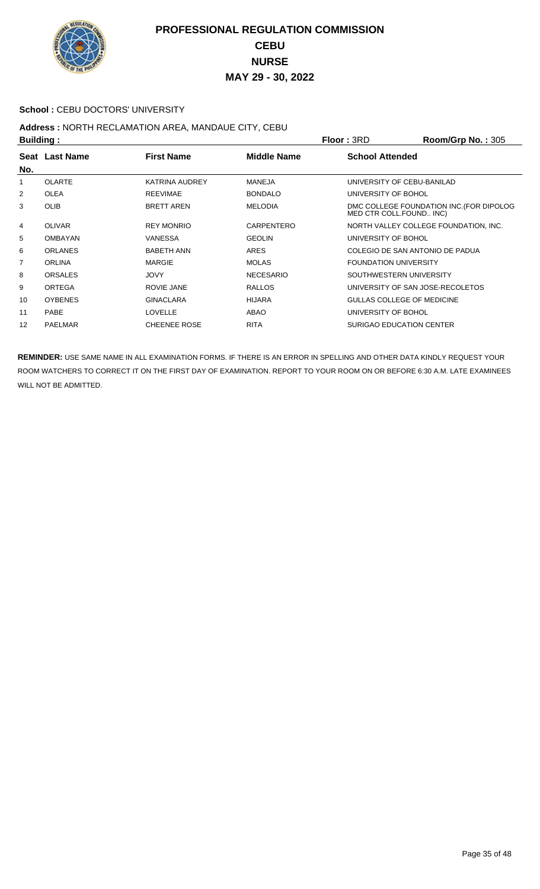

#### School : CEBU DOCTORS' UNIVERSITY

# Address : NORTH RECLAMATION AREA, MANDAUE CITY, CEBU<br>Building :

|     | <b>Building:</b> |                       |                    | Floor: 3RD                       | Room/Grp No.: 305                       |
|-----|------------------|-----------------------|--------------------|----------------------------------|-----------------------------------------|
| No. | Seat Last Name   | <b>First Name</b>     | <b>Middle Name</b> | <b>School Attended</b>           |                                         |
|     | <b>OLARTE</b>    | <b>KATRINA AUDREY</b> | <b>MANEJA</b>      | UNIVERSITY OF CEBU-BANILAD       |                                         |
| 2   | <b>OLEA</b>      | <b>REEVIMAE</b>       | <b>BONDALO</b>     | UNIVERSITY OF BOHOL              |                                         |
| 3   | <b>OLIB</b>      | <b>BRETT AREN</b>     | <b>MELODIA</b>     | MED CTR COLL.FOUND INC)          | DMC COLLEGE FOUNDATION INC.(FOR DIPOLOG |
| 4   | <b>OLIVAR</b>    | <b>REY MONRIO</b>     | CARPENTERO         |                                  | NORTH VALLEY COLLEGE FOUNDATION, INC.   |
| 5   | <b>OMBAYAN</b>   | <b>VANESSA</b>        | <b>GEOLIN</b>      | UNIVERSITY OF BOHOL              |                                         |
| 6   | <b>ORLANES</b>   | <b>BABETH ANN</b>     | ARES               | COLEGIO DE SAN ANTONIO DE PADUA  |                                         |
| 7   | <b>ORLINA</b>    | <b>MARGIE</b>         | <b>MOLAS</b>       | <b>FOUNDATION UNIVERSITY</b>     |                                         |
| 8   | <b>ORSALES</b>   | <b>JOVY</b>           | <b>NECESARIO</b>   | SOUTHWESTERN UNIVERSITY          |                                         |
| 9   | ORTEGA           | ROVIE JANE            | <b>RALLOS</b>      | UNIVERSITY OF SAN JOSE-RECOLETOS |                                         |
| 10  | <b>OYBENES</b>   | <b>GINACLARA</b>      | <b>HIJARA</b>      | GULLAS COLLEGE OF MEDICINE       |                                         |
| 11  | <b>PABE</b>      | <b>LOVELLE</b>        | ABAO               | UNIVERSITY OF BOHOL              |                                         |
| 12  | <b>PAELMAR</b>   | <b>CHEENEE ROSE</b>   | <b>RITA</b>        | <b>SURIGAO EDUCATION CENTER</b>  |                                         |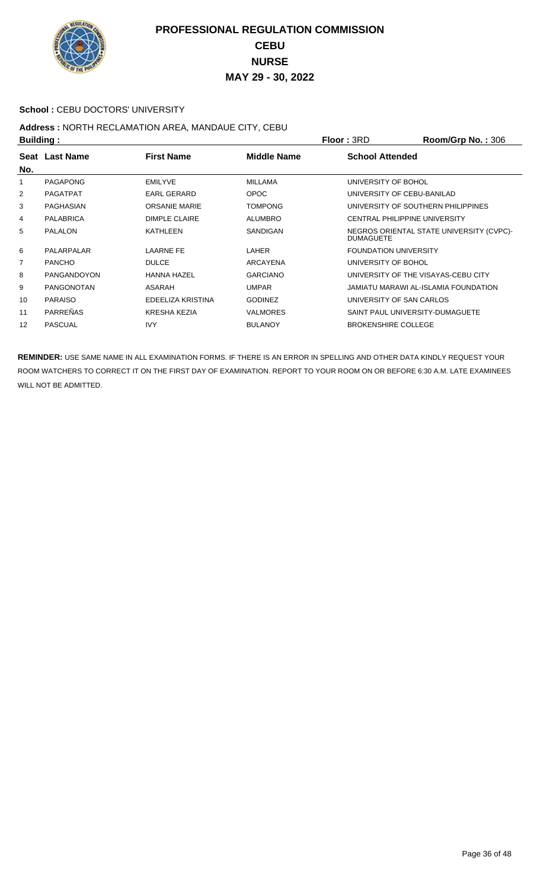

#### School : CEBU DOCTORS' UNIVERSITY

# Address : NORTH RECLAMATION AREA, MANDAUE CITY, CEBU<br>Building :

| <b>Building:</b> |                    |                      |                    | Floor: 3RD                           | Room/Grp No.: 306                        |
|------------------|--------------------|----------------------|--------------------|--------------------------------------|------------------------------------------|
| No.              | Seat Last Name     | <b>First Name</b>    | <b>Middle Name</b> | <b>School Attended</b>               |                                          |
| 1                | PAGAPONG           | <b>EMILYVE</b>       | MILLAMA            | UNIVERSITY OF BOHOL                  |                                          |
| 2                | <b>PAGATPAT</b>    | EARL GERARD          | <b>OPOC</b>        | UNIVERSITY OF CEBU-BANILAD           |                                          |
| 3                | PAGHASIAN          | <b>ORSANIE MARIE</b> | <b>TOMPONG</b>     | UNIVERSITY OF SOUTHERN PHILIPPINES   |                                          |
| 4                | <b>PALABRICA</b>   | <b>DIMPLE CLAIRE</b> | <b>ALUMBRO</b>     | <b>CENTRAL PHILIPPINE UNIVERSITY</b> |                                          |
| 5                | <b>PALALON</b>     | <b>KATHLEEN</b>      | SANDIGAN           | <b>DUMAGUETE</b>                     | NEGROS ORIENTAL STATE UNIVERSITY (CVPC)- |
| 6                | PALARPALAR         | <b>LAARNE FE</b>     | LAHER              | <b>FOUNDATION UNIVERSITY</b>         |                                          |
| $\overline{7}$   | <b>PANCHO</b>      | <b>DULCE</b>         | ARCAYENA           | UNIVERSITY OF BOHOL                  |                                          |
| 8                | <b>PANGANDOYON</b> | <b>HANNA HAZEL</b>   | <b>GARCIANO</b>    | UNIVERSITY OF THE VISAYAS-CEBU CITY  |                                          |
| 9                | <b>PANGONOTAN</b>  | ASARAH               | <b>UMPAR</b>       |                                      | JAMIATU MARAWI AL-ISLAMIA FOUNDATION     |
| 10               | <b>PARAISO</b>     | EDEELIZA KRISTINA    | <b>GODINEZ</b>     | UNIVERSITY OF SAN CARLOS             |                                          |
| 11               | PARREÑAS           | <b>KRESHA KEZIA</b>  | <b>VALMORES</b>    | SAINT PAUL UNIVERSITY-DUMAGUETE      |                                          |
| 12               | <b>PASCUAL</b>     | <b>IVY</b>           | <b>BULANOY</b>     | <b>BROKENSHIRE COLLEGE</b>           |                                          |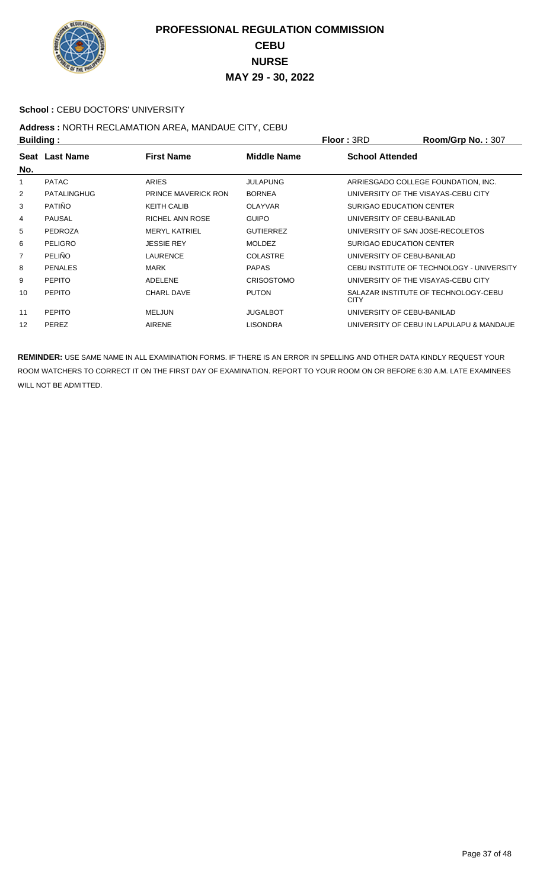

#### School : CEBU DOCTORS' UNIVERSITY

# Address : NORTH RECLAMATION AREA, MANDAUE CITY, CEBU<br>Building :

| Building: |                    |                            |                    | <b>Floor: 3RD</b>                   | Room/Grp No.: 307                         |
|-----------|--------------------|----------------------------|--------------------|-------------------------------------|-------------------------------------------|
| No.       | Seat Last Name     | <b>First Name</b>          | <b>Middle Name</b> | <b>School Attended</b>              |                                           |
| 1         | <b>PATAC</b>       | <b>ARIES</b>               | <b>JULAPUNG</b>    |                                     | ARRIESGADO COLLEGE FOUNDATION, INC.       |
| 2         | <b>PATALINGHUG</b> | <b>PRINCE MAVERICK RON</b> | <b>BORNEA</b>      | UNIVERSITY OF THE VISAYAS-CEBU CITY |                                           |
| 3         | <b>PATIÑO</b>      | <b>KEITH CALIB</b>         | <b>OLAYVAR</b>     | SURIGAO EDUCATION CENTER            |                                           |
| 4         | <b>PAUSAL</b>      | <b>RICHEL ANN ROSE</b>     | <b>GUIPO</b>       | UNIVERSITY OF CEBU-BANILAD          |                                           |
| 5         | <b>PEDROZA</b>     | <b>MERYL KATRIEL</b>       | <b>GUTIERREZ</b>   | UNIVERSITY OF SAN JOSE-RECOLETOS    |                                           |
| 6         | <b>PELIGRO</b>     | <b>JESSIE REY</b>          | <b>MOLDEZ</b>      | SURIGAO EDUCATION CENTER            |                                           |
| 7         | <b>PELIÑO</b>      | <b>LAURENCE</b>            | <b>COLASTRE</b>    | UNIVERSITY OF CEBU-BANILAD          |                                           |
| 8         | <b>PENALES</b>     | <b>MARK</b>                | <b>PAPAS</b>       |                                     | CEBU INSTITUTE OF TECHNOLOGY - UNIVERSITY |
| 9         | <b>PEPITO</b>      | ADELENE                    | <b>CRISOSTOMO</b>  | UNIVERSITY OF THE VISAYAS-CEBU CITY |                                           |
| 10        | <b>PEPITO</b>      | <b>CHARL DAVE</b>          | <b>PUTON</b>       | <b>CITY</b>                         | SALAZAR INSTITUTE OF TECHNOLOGY-CEBU      |
| 11        | <b>PEPITO</b>      | <b>MELJUN</b>              | <b>JUGALBOT</b>    | UNIVERSITY OF CEBU-BANILAD          |                                           |
| 12        | PEREZ              | <b>AIRENE</b>              | <b>LISONDRA</b>    |                                     | UNIVERSITY OF CEBU IN LAPULAPU & MANDAUE  |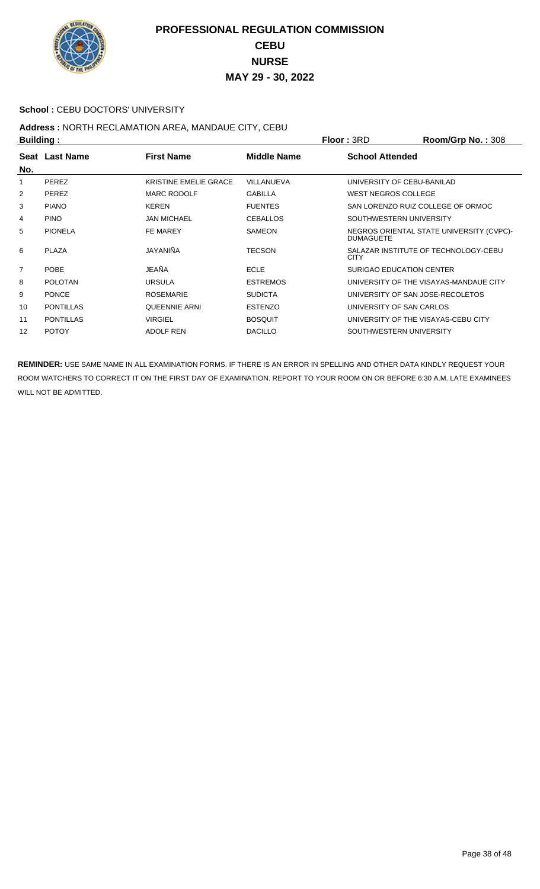

#### School : CEBU DOCTORS' UNIVERSITY

# Address : NORTH RECLAMATION AREA, MANDAUE CITY, CEBU<br>Building :

| <b>Building:</b> |                  |                              |                    | Floor: 3RD                       | Room/Grp No.: 308                        |
|------------------|------------------|------------------------------|--------------------|----------------------------------|------------------------------------------|
| No.              | Seat Last Name   | <b>First Name</b>            | <b>Middle Name</b> | <b>School Attended</b>           |                                          |
| 1                | PEREZ            | <b>KRISTINE EMELIE GRACE</b> | VILLANUEVA         | UNIVERSITY OF CEBU-BANILAD       |                                          |
| 2                | PEREZ            | <b>MARC RODOLF</b>           | <b>GABILLA</b>     | <b>WEST NEGROS COLLEGE</b>       |                                          |
| 3                | <b>PIANO</b>     | <b>KEREN</b>                 | <b>FUENTES</b>     |                                  | SAN LORENZO RUIZ COLLEGE OF ORMOC        |
| 4                | <b>PINO</b>      | <b>JAN MICHAEL</b>           | <b>CEBALLOS</b>    | SOUTHWESTERN UNIVERSITY          |                                          |
| 5                | <b>PIONELA</b>   | FE MAREY                     | <b>SAMEON</b>      | <b>DUMAGUETE</b>                 | NEGROS ORIENTAL STATE UNIVERSITY (CVPC)- |
| 6                | <b>PLAZA</b>     | JAYANIÑA                     | <b>TECSON</b>      | <b>CITY</b>                      | SALAZAR INSTITUTE OF TECHNOLOGY-CEBU     |
| $\overline{7}$   | POBE             | JEAÑA                        | <b>ECLE</b>        | <b>SURIGAO EDUCATION CENTER</b>  |                                          |
| 8                | <b>POLOTAN</b>   | <b>URSULA</b>                | <b>ESTREMOS</b>    |                                  | UNIVERSITY OF THE VISAYAS-MANDAUE CITY   |
| 9                | <b>PONCE</b>     | <b>ROSEMARIE</b>             | <b>SUDICTA</b>     | UNIVERSITY OF SAN JOSE-RECOLETOS |                                          |
| 10               | <b>PONTILLAS</b> | <b>QUEENNIE ARNI</b>         | <b>ESTENZO</b>     | UNIVERSITY OF SAN CARLOS         |                                          |
| 11               | <b>PONTILLAS</b> | <b>VIRGIEL</b>               | <b>BOSQUIT</b>     |                                  | UNIVERSITY OF THE VISAYAS-CEBU CITY      |
| 12               | <b>POTOY</b>     | <b>ADOLF REN</b>             | <b>DACILLO</b>     | SOUTHWESTERN UNIVERSITY          |                                          |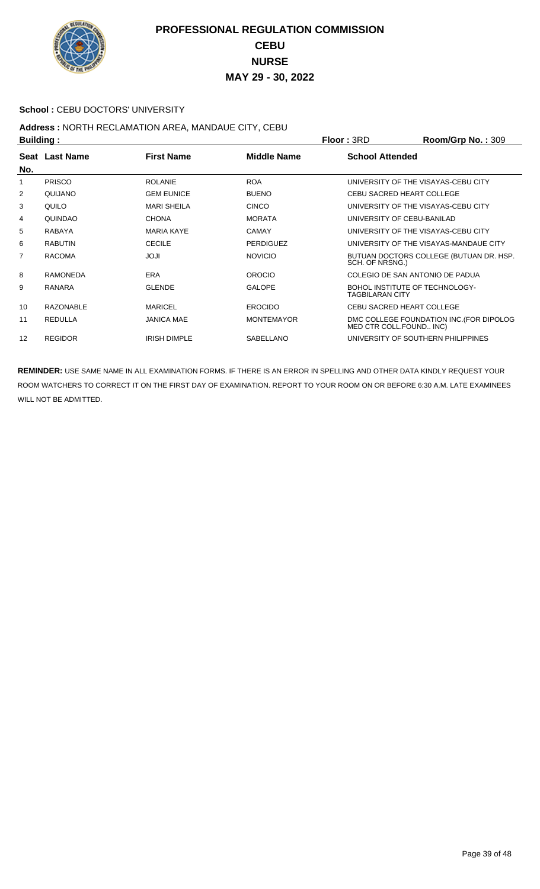

#### School : CEBU DOCTORS' UNIVERSITY

## **Address :** NORTH RECLAMATION AREA, MANDAUE CITY, CEBU

| <b>Building:</b> |                  |                     | <b>Floor: 3RD</b>  | Room/Grp No.: 309                                        |                                          |
|------------------|------------------|---------------------|--------------------|----------------------------------------------------------|------------------------------------------|
| No.              | Seat Last Name   | <b>First Name</b>   | <b>Middle Name</b> | <b>School Attended</b>                                   |                                          |
| 1                | <b>PRISCO</b>    | <b>ROLANIE</b>      | <b>ROA</b>         |                                                          | UNIVERSITY OF THE VISAYAS-CEBU CITY      |
| 2                | QUIJANO          | <b>GEM EUNICE</b>   | <b>BUENO</b>       | <b>CEBU SACRED HEART COLLEGE</b>                         |                                          |
| 3                | QUILO            | <b>MARI SHEILA</b>  | <b>CINCO</b>       |                                                          | UNIVERSITY OF THE VISAYAS-CEBU CITY      |
| 4                | QUINDAO          | <b>CHONA</b>        | <b>MORATA</b>      | UNIVERSITY OF CEBU-BANILAD                               |                                          |
| 5                | RABAYA           | <b>MARIA KAYE</b>   | <b>CAMAY</b>       |                                                          | UNIVERSITY OF THE VISAYAS-CEBU CITY      |
| 6                | <b>RABUTIN</b>   | <b>CECILE</b>       | <b>PERDIGUEZ</b>   |                                                          | UNIVERSITY OF THE VISAYAS-MANDAUE CITY   |
| 7                | <b>RACOMA</b>    | ILOL                | <b>NOVICIO</b>     | SCH. OF NRSNG.)                                          | BUTUAN DOCTORS COLLEGE (BUTUAN DR. HSP.  |
| 8                | <b>RAMONEDA</b>  | ERA                 | <b>OROCIO</b>      |                                                          | COLEGIO DE SAN ANTONIO DE PADUA          |
| 9                | <b>RANARA</b>    | <b>GLENDE</b>       | <b>GALOPE</b>      | BOHOL INSTITUTE OF TECHNOLOGY-<br><b>TAGBILARAN CITY</b> |                                          |
| 10               | <b>RAZONABLE</b> | <b>MARICEL</b>      | <b>EROCIDO</b>     | <b>CEBU SACRED HEART COLLEGE</b>                         |                                          |
| 11               | <b>REDULLA</b>   | <b>JANICA MAE</b>   | <b>MONTEMAYOR</b>  | MED CTR COLL.FOUND INC)                                  | DMC COLLEGE FOUNDATION INC. (FOR DIPOLOG |
| 12               | <b>REGIDOR</b>   | <b>IRISH DIMPLE</b> | <b>SABELLANO</b>   |                                                          | UNIVERSITY OF SOUTHERN PHILIPPINES       |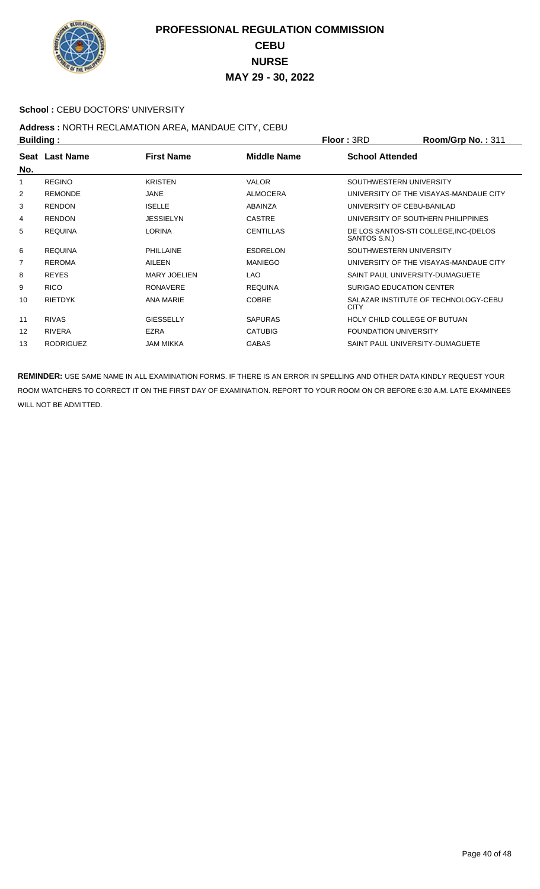

#### School : CEBU DOCTORS' UNIVERSITY

## **Address :** NORTH RECLAMATION AREA, MANDAUE CITY, CEBU

| <b>Building:</b> |                  |                     |                    | Room/Grp No.: 311<br><b>Floor: 3RD</b>                |
|------------------|------------------|---------------------|--------------------|-------------------------------------------------------|
| No.              | Seat Last Name   | <b>First Name</b>   | <b>Middle Name</b> | <b>School Attended</b>                                |
| 1                | <b>REGINO</b>    | <b>KRISTEN</b>      | <b>VALOR</b>       | SOUTHWESTERN UNIVERSITY                               |
| 2                | <b>REMONDE</b>   | <b>JANE</b>         | <b>ALMOCERA</b>    | UNIVERSITY OF THE VISAYAS-MANDAUE CITY                |
| 3                | <b>RENDON</b>    | <b>ISELLE</b>       | ABAINZA            | UNIVERSITY OF CEBU-BANILAD                            |
| 4                | <b>RENDON</b>    | <b>JESSIELYN</b>    | <b>CASTRE</b>      | UNIVERSITY OF SOUTHERN PHILIPPINES                    |
| 5                | <b>REQUINA</b>   | <b>LORINA</b>       | <b>CENTILLAS</b>   | DE LOS SANTOS-STI COLLEGE, INC-(DELOS<br>SANTOS S.N.) |
| 6                | <b>REQUINA</b>   | <b>PHILLAINE</b>    | <b>ESDRELON</b>    | SOUTHWESTERN UNIVERSITY                               |
| 7                | <b>REROMA</b>    | AILEEN              | <b>MANIEGO</b>     | UNIVERSITY OF THE VISAYAS-MANDAUE CITY                |
| 8                | <b>REYES</b>     | <b>MARY JOELIEN</b> | <b>LAO</b>         | SAINT PAUL UNIVERSITY-DUMAGUETE                       |
| 9                | <b>RICO</b>      | <b>RONAVERE</b>     | <b>REQUINA</b>     | SURIGAO EDUCATION CENTER                              |
| 10               | <b>RIETDYK</b>   | ANA MARIE           | <b>COBRE</b>       | SALAZAR INSTITUTE OF TECHNOLOGY-CEBU<br><b>CITY</b>   |
| 11               | <b>RIVAS</b>     | <b>GIESSELLY</b>    | <b>SAPURAS</b>     | HOLY CHILD COLLEGE OF BUTUAN                          |
| 12               | <b>RIVERA</b>    | <b>EZRA</b>         | <b>CATUBIG</b>     | <b>FOUNDATION UNIVERSITY</b>                          |
| 13               | <b>RODRIGUEZ</b> | <b>JAM MIKKA</b>    | <b>GABAS</b>       | SAINT PAUL UNIVERSITY-DUMAGUETE                       |
|                  |                  |                     |                    |                                                       |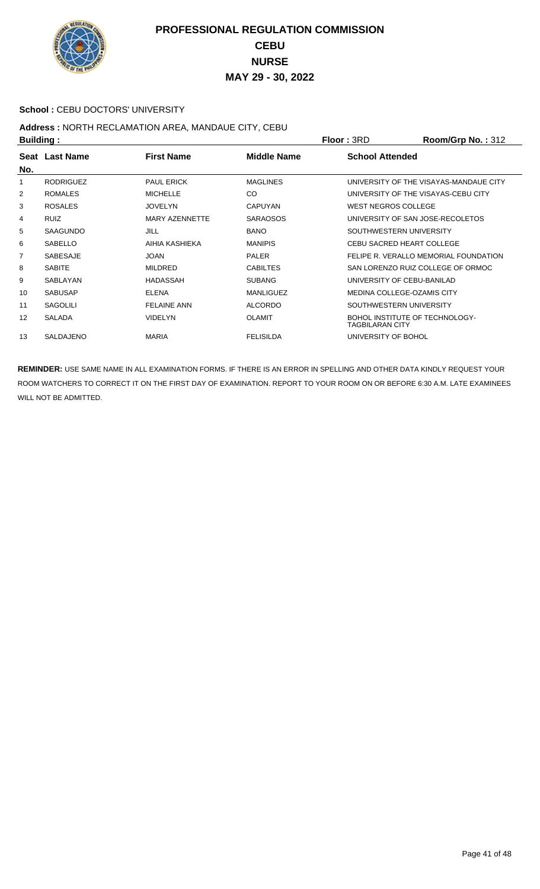

#### School : CEBU DOCTORS' UNIVERSITY

# Address : NORTH RECLAMATION AREA, MANDAUE CITY, CEBU<br>Puilding :

| <b>Building:</b> |                  |                       |                    | <b>Floor: 3RD</b>                                        | Room/Grp No.: 312                      |
|------------------|------------------|-----------------------|--------------------|----------------------------------------------------------|----------------------------------------|
| No.              | Seat Last Name   | <b>First Name</b>     | <b>Middle Name</b> | <b>School Attended</b>                                   |                                        |
| 1                | <b>RODRIGUEZ</b> | <b>PAUL ERICK</b>     | <b>MAGLINES</b>    |                                                          | UNIVERSITY OF THE VISAYAS-MANDAUE CITY |
| 2                | <b>ROMALES</b>   | <b>MICHELLE</b>       | <b>CO</b>          | UNIVERSITY OF THE VISAYAS-CEBU CITY                      |                                        |
| 3                | <b>ROSALES</b>   | <b>JOVELYN</b>        | <b>CAPUYAN</b>     | WEST NEGROS COLLEGE                                      |                                        |
| 4                | <b>RUIZ</b>      | <b>MARY AZENNETTE</b> | <b>SARAOSOS</b>    | UNIVERSITY OF SAN JOSE-RECOLETOS                         |                                        |
| 5                | <b>SAAGUNDO</b>  | <b>JILL</b>           | <b>BANO</b>        | SOUTHWESTERN UNIVERSITY                                  |                                        |
| 6                | <b>SABELLO</b>   | AIHIA KASHIEKA        | <b>MANIPIS</b>     | CEBU SACRED HEART COLLEGE                                |                                        |
| $\overline{7}$   | <b>SABESAJE</b>  | <b>JOAN</b>           | <b>PALER</b>       |                                                          | FELIPE R. VERALLO MEMORIAL FOUNDATION  |
| 8                | <b>SABITE</b>    | <b>MILDRED</b>        | <b>CABILTES</b>    |                                                          | SAN LORENZO RUIZ COLLEGE OF ORMOC      |
| 9                | SABLAYAN         | <b>HADASSAH</b>       | <b>SUBANG</b>      | UNIVERSITY OF CEBU-BANILAD                               |                                        |
| 10               | <b>SABUSAP</b>   | <b>ELENA</b>          | <b>MANLIGUEZ</b>   | MEDINA COLLEGE-OZAMIS CITY                               |                                        |
| 11               | <b>SAGOLILI</b>  | <b>FELAINE ANN</b>    | <b>ALCORDO</b>     | SOUTHWESTERN UNIVERSITY                                  |                                        |
| 12               | <b>SALADA</b>    | <b>VIDELYN</b>        | <b>OLAMIT</b>      | BOHOL INSTITUTE OF TECHNOLOGY-<br><b>TAGBILARAN CITY</b> |                                        |
| 13               | <b>SALDAJENO</b> | <b>MARIA</b>          | <b>FELISILDA</b>   | UNIVERSITY OF BOHOL                                      |                                        |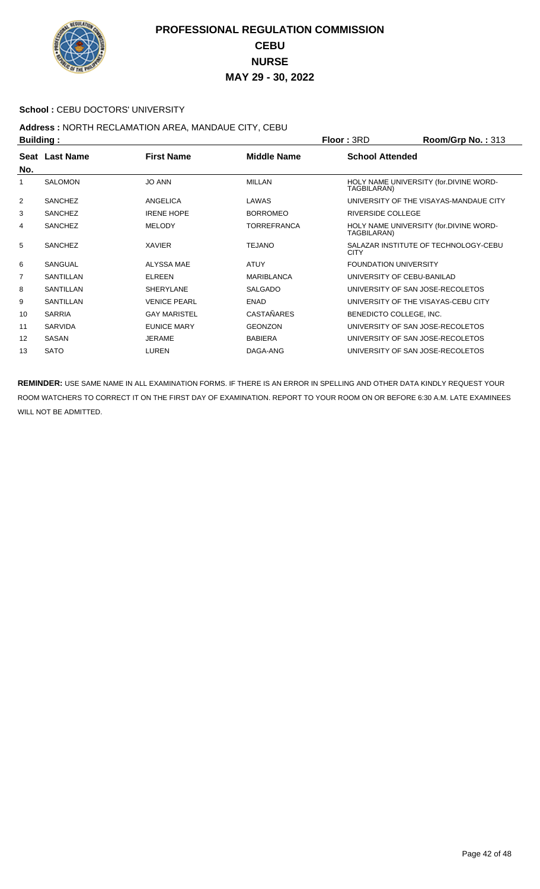

#### School : CEBU DOCTORS' UNIVERSITY

## **Address :** NORTH RECLAMATION AREA, MANDAUE CITY, CEBU

| <b>Building:</b> |                       |                     |                    | Room/Grp No.: 313<br><b>Floor: 3RD</b>                |
|------------------|-----------------------|---------------------|--------------------|-------------------------------------------------------|
|                  | <b>Seat Last Name</b> | <b>First Name</b>   | <b>Middle Name</b> | <b>School Attended</b>                                |
| No.              |                       |                     |                    |                                                       |
| 1                | <b>SALOMON</b>        | <b>JO ANN</b>       | <b>MILLAN</b>      | HOLY NAME UNIVERSITY (for.DIVINE WORD-<br>TAGBILARAN) |
| 2                | <b>SANCHEZ</b>        | ANGELICA            | LAWAS              | UNIVERSITY OF THE VISAYAS-MANDAUE CITY                |
| 3                | <b>SANCHEZ</b>        | <b>IRENE HOPE</b>   | <b>BORROMEO</b>    | RIVERSIDE COLLEGE                                     |
| 4                | <b>SANCHEZ</b>        | <b>MELODY</b>       | <b>TORREFRANCA</b> | HOLY NAME UNIVERSITY (for.DIVINE WORD-<br>TAGBILARAN) |
| 5                | <b>SANCHEZ</b>        | <b>XAVIER</b>       | <b>TEJANO</b>      | SALAZAR INSTITUTE OF TECHNOLOGY-CEBU<br><b>CITY</b>   |
| 6                | <b>SANGUAL</b>        | ALYSSA MAE          | <b>ATUY</b>        | <b>FOUNDATION UNIVERSITY</b>                          |
| 7                | SANTILLAN             | <b>ELREEN</b>       | <b>MARIBLANCA</b>  | UNIVERSITY OF CEBU-BANILAD                            |
| 8                | SANTILLAN             | <b>SHERYLANE</b>    | <b>SALGADO</b>     | UNIVERSITY OF SAN JOSE-RECOLETOS                      |
| 9                | SANTILLAN             | <b>VENICE PEARL</b> | <b>ENAD</b>        | UNIVERSITY OF THE VISAYAS-CEBU CITY                   |
| 10               | <b>SARRIA</b>         | <b>GAY MARISTEL</b> | <b>CASTAÑARES</b>  | BENEDICTO COLLEGE, INC.                               |
| 11               | <b>SARVIDA</b>        | <b>EUNICE MARY</b>  | <b>GEONZON</b>     | UNIVERSITY OF SAN JOSE-RECOLETOS                      |
| 12               | SASAN                 | <b>JERAME</b>       | <b>BABIERA</b>     | UNIVERSITY OF SAN JOSE-RECOLETOS                      |
| 13               | <b>SATO</b>           | LUREN               | DAGA-ANG           | UNIVERSITY OF SAN JOSE-RECOLETOS                      |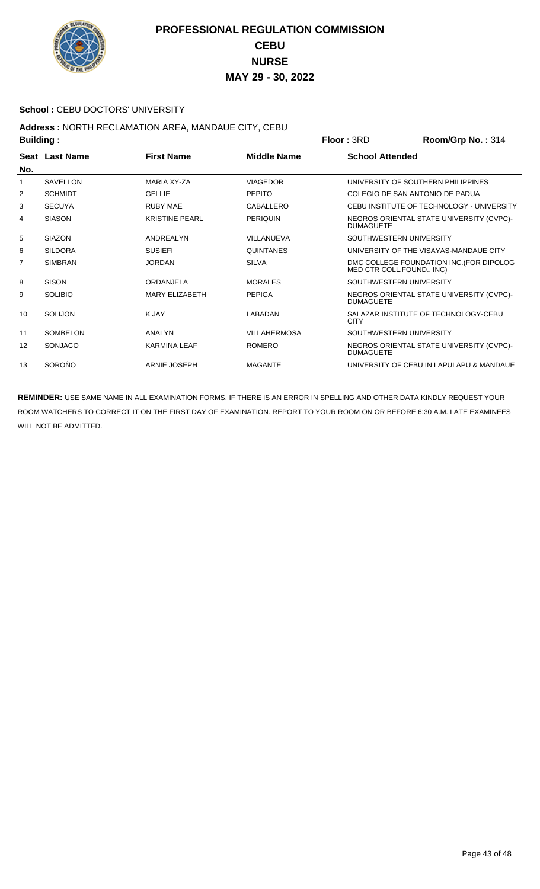

#### School : CEBU DOCTORS' UNIVERSITY

## **Address :** NORTH RECLAMATION AREA, MANDAUE CITY, CEBU

| <b>Building:</b> |                 |                       |                     | Floor: 3RD                         | Room/Grp No.: 314                         |
|------------------|-----------------|-----------------------|---------------------|------------------------------------|-------------------------------------------|
| No.              | Seat Last Name  | <b>First Name</b>     | Middle Name         | <b>School Attended</b>             |                                           |
| 1                | <b>SAVELLON</b> | <b>MARIA XY-ZA</b>    | <b>VIAGEDOR</b>     | UNIVERSITY OF SOUTHERN PHILIPPINES |                                           |
| 2                | <b>SCHMIDT</b>  | <b>GELLIE</b>         | <b>PEPITO</b>       | COLEGIO DE SAN ANTONIO DE PADUA    |                                           |
| 3                | <b>SECUYA</b>   | <b>RUBY MAE</b>       | CABALLERO           |                                    | CEBU INSTITUTE OF TECHNOLOGY - UNIVERSITY |
| 4                | <b>SIASON</b>   | <b>KRISTINE PEARL</b> | <b>PERIQUIN</b>     | <b>DUMAGUETE</b>                   | NEGROS ORIENTAL STATE UNIVERSITY (CVPC)-  |
| 5                | <b>SIAZON</b>   | ANDREALYN             | VILLANUEVA          | SOUTHWESTERN UNIVERSITY            |                                           |
| 6                | <b>SILDORA</b>  | <b>SUSIEFI</b>        | <b>QUINTANES</b>    |                                    | UNIVERSITY OF THE VISAYAS-MANDAUE CITY    |
| 7                | <b>SIMBRAN</b>  | <b>JORDAN</b>         | <b>SILVA</b>        | MED CTR COLL.FOUND INC)            | DMC COLLEGE FOUNDATION INC. (FOR DIPOLOG  |
| 8                | <b>SISON</b>    | ORDANJELA             | <b>MORALES</b>      | SOUTHWESTERN UNIVERSITY            |                                           |
| 9                | <b>SOLIBIO</b>  | <b>MARY ELIZABETH</b> | <b>PEPIGA</b>       | <b>DUMAGUETE</b>                   | NEGROS ORIENTAL STATE UNIVERSITY (CVPC)-  |
| 10               | SOLIJON         | K JAY                 | LABADAN             | <b>CITY</b>                        | SALAZAR INSTITUTE OF TECHNOLOGY-CEBU      |
| 11               | SOMBELON        | ANALYN                | <b>VILLAHERMOSA</b> | SOUTHWESTERN UNIVERSITY            |                                           |
| 12               | <b>SONJACO</b>  | <b>KARMINA LEAF</b>   | <b>ROMERO</b>       | <b>DUMAGUETE</b>                   | NEGROS ORIENTAL STATE UNIVERSITY (CVPC)-  |
| 13               | SOROÑO          | ARNIE JOSEPH          | <b>MAGANTE</b>      |                                    | UNIVERSITY OF CEBU IN LAPULAPU & MANDAUE  |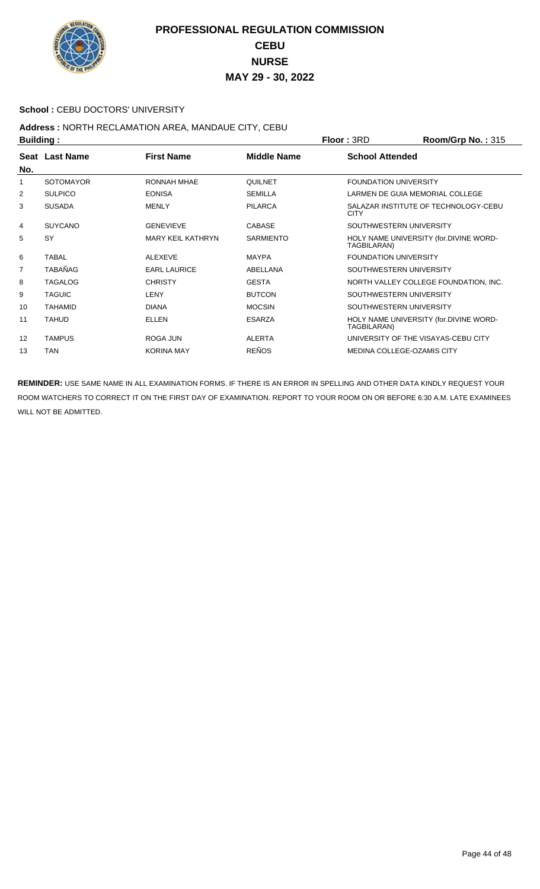

#### **School : CEBU DOCTORS' UNIVERSITY**

# Address : NORTH RECLAMATION AREA, MANDAUE CITY, CEBU<br>Ruilding :

|     | <b>Building:</b> |                          |                    | Floor: 3RD                          | Room/Grp No.: 315                      |
|-----|------------------|--------------------------|--------------------|-------------------------------------|----------------------------------------|
| No. | Seat Last Name   | <b>First Name</b>        | <b>Middle Name</b> | <b>School Attended</b>              |                                        |
| 1   | <b>SOTOMAYOR</b> | <b>RONNAH MHAE</b>       | QUILNET            | <b>FOUNDATION UNIVERSITY</b>        |                                        |
| 2   | <b>SULPICO</b>   | <b>EONISA</b>            | <b>SEMILLA</b>     | LARMEN DE GUIA MEMORIAL COLLEGE     |                                        |
| 3   | <b>SUSADA</b>    | <b>MENLY</b>             | <b>PILARCA</b>     | <b>CITY</b>                         | SALAZAR INSTITUTE OF TECHNOLOGY-CEBU   |
| 4   | <b>SUYCANO</b>   | <b>GENEVIEVE</b>         | <b>CABASE</b>      | SOUTHWESTERN UNIVERSITY             |                                        |
| 5   | SY               | <b>MARY KEIL KATHRYN</b> | <b>SARMIENTO</b>   | TAGBILARAN)                         | HOLY NAME UNIVERSITY (for.DIVINE WORD- |
| 6   | <b>TABAL</b>     | <b>ALEXEVE</b>           | <b>MAYPA</b>       | <b>FOUNDATION UNIVERSITY</b>        |                                        |
| 7   | <b>TABAÑAG</b>   | <b>EARL LAURICE</b>      | ABELLANA           | SOUTHWESTERN UNIVERSITY             |                                        |
| 8   | <b>TAGALOG</b>   | <b>CHRISTY</b>           | <b>GESTA</b>       |                                     | NORTH VALLEY COLLEGE FOUNDATION, INC.  |
| 9   | <b>TAGUIC</b>    | <b>LENY</b>              | <b>BUTCON</b>      | SOUTHWESTERN UNIVERSITY             |                                        |
| 10  | <b>TAHAMID</b>   | <b>DIANA</b>             | <b>MOCSIN</b>      | SOUTHWESTERN UNIVERSITY             |                                        |
| 11  | <b>TAHUD</b>     | ELLEN                    | <b>ESARZA</b>      | TAGBILARAN)                         | HOLY NAME UNIVERSITY (for.DIVINE WORD- |
| 12  | <b>TAMPUS</b>    | ROGA JUN                 | <b>ALERTA</b>      | UNIVERSITY OF THE VISAYAS-CEBU CITY |                                        |
| 13  | <b>TAN</b>       | <b>KORINA MAY</b>        | <b>REÑOS</b>       | <b>MEDINA COLLEGE-OZAMIS CITY</b>   |                                        |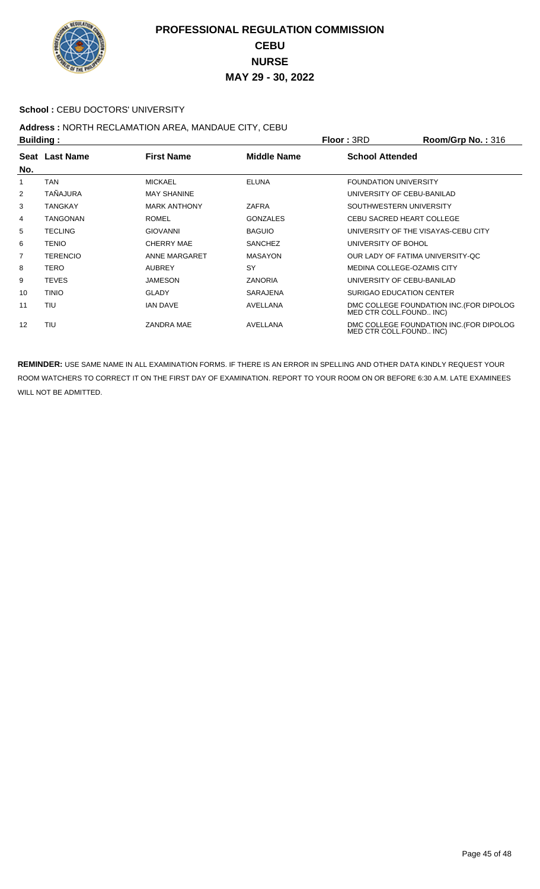

#### School : CEBU DOCTORS' UNIVERSITY

## **Address :** NORTH RECLAMATION AREA, MANDAUE CITY, CEBU

| <b>Building:</b> |                 |                     | <b>Floor: 3RD</b>  | Room/Grp No.: 316            |                                          |
|------------------|-----------------|---------------------|--------------------|------------------------------|------------------------------------------|
| No.              | Seat Last Name  | <b>First Name</b>   | <b>Middle Name</b> | <b>School Attended</b>       |                                          |
| 1                | TAN             | <b>MICKAEL</b>      | <b>ELUNA</b>       | <b>FOUNDATION UNIVERSITY</b> |                                          |
| 2                | TAÑAJURA        | <b>MAY SHANINE</b>  |                    |                              | UNIVERSITY OF CEBU-BANILAD               |
| 3                | <b>TANGKAY</b>  | <b>MARK ANTHONY</b> | ZAFRA              |                              | SOUTHWESTERN UNIVERSITY                  |
| 4                | TANGONAN        | <b>ROMEL</b>        | <b>GONZALES</b>    |                              | CEBU SACRED HEART COLLEGE                |
| 5                | <b>TECLING</b>  | <b>GIOVANNI</b>     | <b>BAGUIO</b>      |                              | UNIVERSITY OF THE VISAYAS-CEBU CITY      |
| 6                | <b>TENIO</b>    | CHERRY MAE          | <b>SANCHEZ</b>     | UNIVERSITY OF BOHOL          |                                          |
| 7                | <b>TERENCIO</b> | ANNE MARGARET       | <b>MASAYON</b>     |                              | OUR LADY OF FATIMA UNIVERSITY-QC         |
| 8                | TERO            | <b>AUBREY</b>       | SY                 |                              | MEDINA COLLEGE-OZAMIS CITY               |
| 9                | <b>TEVES</b>    | <b>JAMESON</b>      | <b>ZANORIA</b>     |                              | UNIVERSITY OF CEBU-BANILAD               |
| 10               | <b>TINIO</b>    | <b>GLADY</b>        | <b>SARAJENA</b>    |                              | SURIGAO EDUCATION CENTER                 |
| 11               | TIU             | <b>IAN DAVE</b>     | AVELLANA           | MED CTR COLL.FOUND INC)      | DMC COLLEGE FOUNDATION INC. (FOR DIPOLOG |
| 12               | TIU             | <b>ZANDRA MAE</b>   | AVELLANA           | MED CTR COLL.FOUND INC)      | DMC COLLEGE FOUNDATION INC. (FOR DIPOLOG |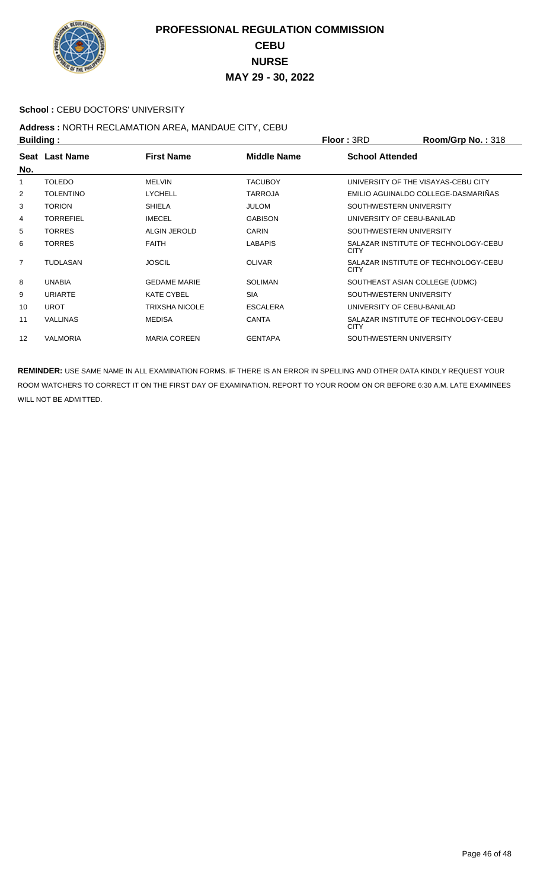

#### School : CEBU DOCTORS' UNIVERSITY

## **Address :** NORTH RECLAMATION AREA, MANDAUE CITY, CEBU

| <b>Building:</b> |                  |                       |                    | <b>Floor: 3RD</b>                   | <b>Room/Grp No.: 318</b>             |
|------------------|------------------|-----------------------|--------------------|-------------------------------------|--------------------------------------|
| No.              | Seat Last Name   | <b>First Name</b>     | <b>Middle Name</b> | <b>School Attended</b>              |                                      |
| 1                | <b>TOLEDO</b>    | <b>MELVIN</b>         | <b>TACUBOY</b>     | UNIVERSITY OF THE VISAYAS-CEBU CITY |                                      |
| 2                | <b>TOLENTINO</b> | <b>LYCHELL</b>        | <b>TARROJA</b>     |                                     | EMILIO AGUINALDO COLLEGE-DASMARIÑAS  |
| 3                | <b>TORION</b>    | <b>SHIELA</b>         | <b>JULOM</b>       | SOUTHWESTERN UNIVERSITY             |                                      |
| 4                | <b>TORREFIEL</b> | <b>IMECEL</b>         | <b>GABISON</b>     | UNIVERSITY OF CEBU-BANILAD          |                                      |
| 5                | <b>TORRES</b>    | <b>ALGIN JEROLD</b>   | <b>CARIN</b>       | SOUTHWESTERN UNIVERSITY             |                                      |
| 6                | <b>TORRES</b>    | <b>FAITH</b>          | <b>LABAPIS</b>     | <b>CITY</b>                         | SALAZAR INSTITUTE OF TECHNOLOGY-CEBU |
| $\overline{7}$   | <b>TUDLASAN</b>  | <b>JOSCIL</b>         | <b>OLIVAR</b>      | <b>CITY</b>                         | SALAZAR INSTITUTE OF TECHNOLOGY-CEBU |
| 8                | <b>UNABIA</b>    | <b>GEDAME MARIE</b>   | <b>SOLIMAN</b>     | SOUTHEAST ASIAN COLLEGE (UDMC)      |                                      |
| 9                | <b>URIARTE</b>   | <b>KATE CYBEL</b>     | <b>SIA</b>         | SOUTHWESTERN UNIVERSITY             |                                      |
| 10               | <b>UROT</b>      | <b>TRIXSHA NICOLE</b> | <b>ESCALERA</b>    | UNIVERSITY OF CEBU-BANILAD          |                                      |
| 11               | <b>VALLINAS</b>  | <b>MEDISA</b>         | <b>CANTA</b>       | <b>CITY</b>                         | SALAZAR INSTITUTE OF TECHNOLOGY-CEBU |
| 12               | <b>VALMORIA</b>  | <b>MARIA COREEN</b>   | <b>GENTAPA</b>     | SOUTHWESTERN UNIVERSITY             |                                      |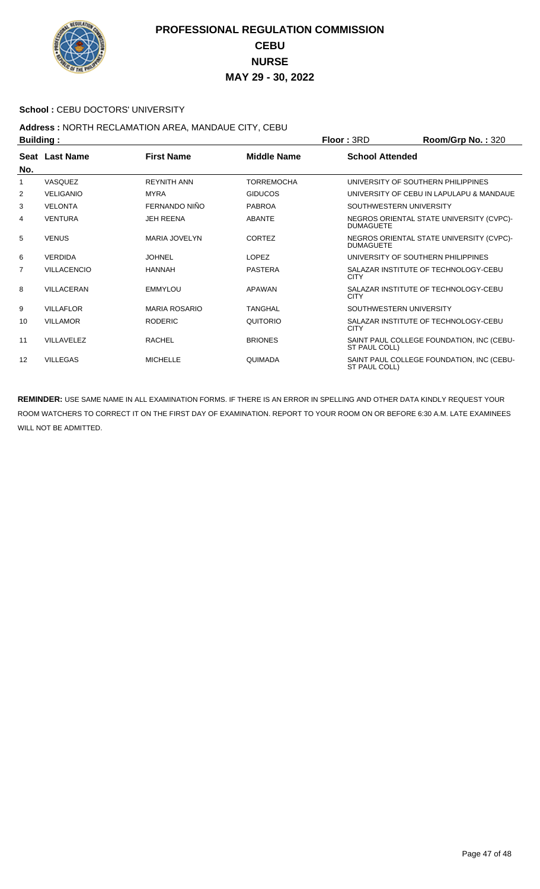

#### School : CEBU DOCTORS' UNIVERSITY

# Address : NORTH RECLAMATION AREA, MANDAUE CITY, CEBU<br>Building :

| <b>Building:</b> |                    |                      |                    | Floor: 3RD              | Room/Grp No.: 320                         |
|------------------|--------------------|----------------------|--------------------|-------------------------|-------------------------------------------|
| No.              | Seat Last Name     | <b>First Name</b>    | <b>Middle Name</b> | <b>School Attended</b>  |                                           |
| 1                | VASQUEZ            | <b>REYNITH ANN</b>   | <b>TORREMOCHA</b>  |                         | UNIVERSITY OF SOUTHERN PHILIPPINES        |
| 2                | <b>VELIGANIO</b>   | <b>MYRA</b>          | <b>GIDUCOS</b>     |                         | UNIVERSITY OF CEBU IN LAPULAPU & MANDAUE  |
| 3                | <b>VELONTA</b>     | FERNANDO NIÑO        | <b>PABROA</b>      | SOUTHWESTERN UNIVERSITY |                                           |
| 4                | <b>VENTURA</b>     | <b>JEH REENA</b>     | <b>ABANTE</b>      | <b>DUMAGUETE</b>        | NEGROS ORIENTAL STATE UNIVERSITY (CVPC)-  |
| 5                | <b>VENUS</b>       | <b>MARIA JOVELYN</b> | <b>CORTEZ</b>      | <b>DUMAGUETE</b>        | NEGROS ORIENTAL STATE UNIVERSITY (CVPC)-  |
| 6                | <b>VERDIDA</b>     | <b>JOHNEL</b>        | LOPEZ              |                         | UNIVERSITY OF SOUTHERN PHILIPPINES        |
| 7                | <b>VILLACENCIO</b> | <b>HANNAH</b>        | <b>PASTERA</b>     | <b>CITY</b>             | SALAZAR INSTITUTE OF TECHNOLOGY-CEBU      |
| 8                | <b>VILLACERAN</b>  | <b>EMMYLOU</b>       | <b>APAWAN</b>      | <b>CITY</b>             | SALAZAR INSTITUTE OF TECHNOLOGY-CEBU      |
| 9                | <b>VILLAFLOR</b>   | <b>MARIA ROSARIO</b> | TANGHAL            | SOUTHWESTERN UNIVERSITY |                                           |
| 10               | <b>VILLAMOR</b>    | <b>RODERIC</b>       | QUITORIO           | <b>CITY</b>             | SALAZAR INSTITUTE OF TECHNOLOGY-CEBU      |
| 11               | VII I AVELEZ       | <b>RACHEL</b>        | <b>BRIONES</b>     | ST PAUL COLL)           | SAINT PAUL COLLEGE FOUNDATION, INC (CEBU- |
| 12               | <b>VILLEGAS</b>    | <b>MICHELLE</b>      | <b>QUIMADA</b>     | ST PAUL COLL)           | SAINT PAUL COLLEGE FOUNDATION, INC (CEBU- |